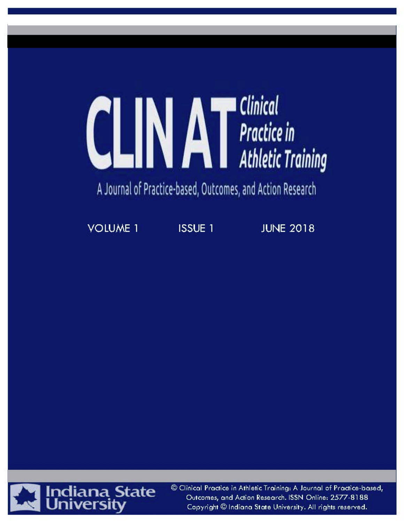# **CLINAT** Practice in **Clinical**

# A Journal of Practice-based, Outcomes, and Action Research

**VOLUME 1** 

**ISSUE 1** 

**JUNE 2018** 



© Clinical Practice in Athletic Training: A Journal of Practice-based, Outcomes, and Action Research. ISSN Online: 2577-8188 Copyright @ Indiana State University. All rights reserved.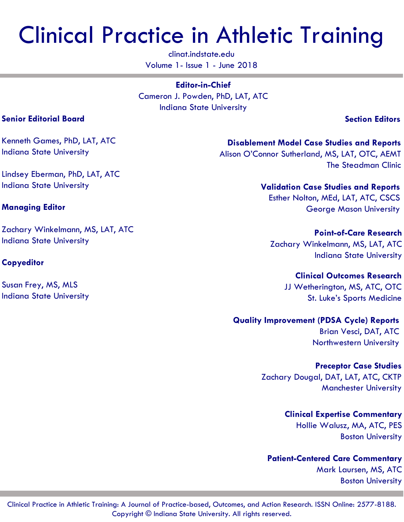# Clinical Practice in Athletic Training

clinat.indstate.edu Volume 1- Issue 1 - June 2018

**Editor-in-Chief** Cameron J. Powden, PhD, LAT, ATC Indiana State University

 **Section Editors**

Kenneth Games, PhD, LAT, ATC Indiana State University

Lindsey Eberman, PhD, LAT, ATC Indiana State University

# **Managing Editor**

Zachary Winkelmann, MS, LAT, ATC Indiana State University

# **Copyeditor**

Susan Frey, MS, MLS Indiana State University

**Disablement Model Case Studies and Reports** Alison O'Connor Sutherland, MS, LAT, OTC, AEMT The Steadman Clinic

> **Validation Case Studies and Reports** Esther Nolton, MEd, LAT, ATC, CSCS George Mason University

**Point-of-Care Research** Zachary Winkelmann, MS, LAT, ATC Indiana State University

> **Clinical Outcomes Research** JJ Wetherington, MS, ATC, OTC St. Luke's Sports Medicine

**Quality Improvement (PDSA Cycle) Reports** Brian Vesci, DAT, ATC Northwestern University

> **Preceptor Case Studies** Zachary Dougal, DAT, LAT, ATC, CKTP Manchester University

> > **Clinical Expertise Commentary** Hollie Walusz, MA, ATC, PES

Boston University **Patient-Centered Care Commentary**

> Mark Laursen, MS, ATC Boston University

# **Senior Editorial Board**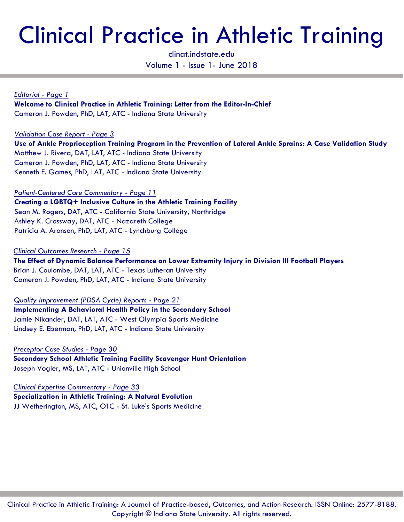# Clinical Practice in Athletic Training

clinat.indstate.edu Volume 1 - Issue 1- June 2018

*Editorial - Page 1* **Welcome to Clinical Practice in Athletic Training: Letter from the Editor-In-Chief** Cameron J. Powden, PhD, LAT, ATC - Indiana State University

*Validation Case Report - Page 3*

**Use of Ankle Proprioception Training Program in the Prevention of Lateral Ankle Sprains: A Case Validation Study** Matthew J. Rivera, DAT, LAT, ATC - Indiana State University Cameron J. Powden, PhD, LAT, ATC - Indiana State University Kenneth E. Games, PhD, LAT, ATC - Indiana State University

*Patient-Centered Care Commentary - Page 11*

**Creating a LGBTQ+ Inclusive Culture in the Athletic Training Facility** Sean M. Rogers, DAT, ATC - California State University, Northridge Ashley K. Crossway, DAT, ATC - Nazareth College Patricia A. Aronson, PhD, LAT, ATC - Lynchburg College

*Clinical Outcomes Research - Page 15* **The Effect of Dynamic Balance Performance on Lower Extremity Injury in Division III Football Players** Brian J. Coulombe, DAT, LAT, ATC - Texas Lutheran University Cameron J. Powden, PhD, LAT, ATC - Indiana State University

*Quality Improvement (PDSA Cycle) Reports - Page 21* **Implementing A Behavioral Health Policy in the Secondary School** Jamie Nikander, DAT, LAT, ATC - West Olympia Sports Medicine Lindsey E. Eberman, PhD, LAT, ATC - Indiana State University

*Preceptor Case Studies - Page 30* **Secondary School Athletic Training Facility Scavenger Hunt Orientation** Joseph Vogler, MS, LAT, ATC - Unionville High School

*Clinical Expertise Commentary - Page 33* **Specialization in Athletic Training: A Natural Evolution** JJ Wetherington, MS, ATC, OTC - St. Luke's Sports Medicine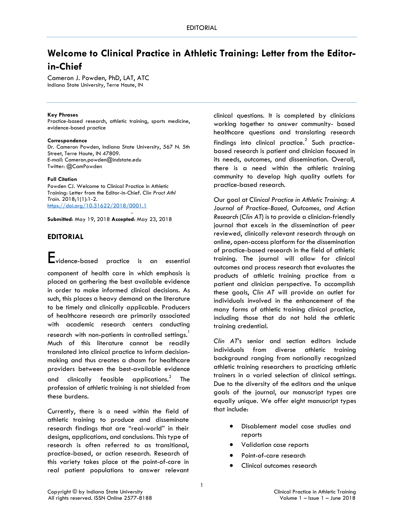# **Welcome to Clinical Practice in Athletic Training: Letter from the Editorin-Chief**

Cameron J. Powden, PhD, LAT, ATC Indiana State University, Terre Haute, IN

#### **Key Phrases**

Practice-based research, athletic training, sports medicine, evidence-based practice

#### **Correspondence**

Dr. Cameron Powden, Indiana State University, 567 N. 5th Street, Terre Haute, IN 47809. E-mail: Cameron.powden@indstate.edu Twitter: @CamPowden

#### **Full Citation**

Powden CJ. Welcome to Clinical Practice in Athletic Training: Letter from the Editor-in-Chief. *Clin Pract Athl Train.* 2018;1(1):1-2. <https://doi.org/10.31622/2018/0001.1>

**Submitted**: May 19, 2018 **Accepted**: May 23, 2018

# **EDITORIAL**

Evidence-based practice is an essential

component of health care in which emphasis is placed on gathering the best available evidence in order to make informed clinical decisions. As such, this places a heavy demand on the literature to be timely and clinically applicable. Producers of healthcare research are primarily associated with academic research centers conducting research with non-patients in controlled settings.<sup>1</sup> Much of this literature cannot be readily translated into clinical practice to inform decisionmaking and thus creates a chasm for healthcare providers between the best-available evidence and clinically feasible applications. $2$  The profession of athletic training is not shielded from these burdens.

Currently, there is a need within the field of athletic training to produce and disseminate research findings that are "real-world" in their designs, applications, and conclusions. This type of research is often referred to as transitional, practice-based, or action research. Research of this variety takes place at the point-of-care in real patient populations to answer relevant clinical questions. It is completed by clinicians working together to answer community- based healthcare questions and translating research findings into clinical practice. $<sup>2</sup>$  Such practice-</sup> based research is patient and clinician focused in its needs, outcomes, and dissemination. Overall, there is a need within the athletic training community to develop high quality outlets for practice-based research.

Our goal at *Clinical Practice in Athletic Training: A Journal of Practice-Based, Outcomes, and Action Research* (*Clin AT*) is to provide a clinician-friendly journal that excels in the dissemination of peer reviewed, clinically relevant research through an online, open-access platform for the dissemination of practice-based research in the field of athletic training. The journal will allow for clinical outcomes and process research that evaluates the products of athletic training practice from a patient and clinician perspective. To accomplish these goals, *Clin AT* will provide an outlet for individuals involved in the enhancement of the many forms of athletic training clinical practice, including those that do not hold the athletic training credential.

*Clin AT*'s senior and section editors include individuals from diverse athletic training background ranging from nationally recognized athletic training researchers to practicing athletic trainers in a varied selection of clinical settings. Due to the diversity of the editors and the unique goals of the journal, our manuscript types are equally unique. We offer eight manuscript types that include:

- Disablement model case studies and reports
- Validation case reports
- Point-of-care research
- Clinical outcomes research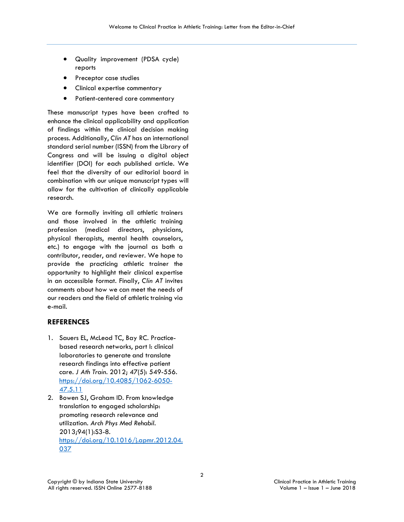- Quality improvement (PDSA cycle) reports
- Preceptor case studies
- Clinical expertise commentary
- Patient-centered care commentary

These manuscript types have been crafted to enhance the clinical applicability and application of findings within the clinical decision making process. Additionally, *Clin AT* has an international standard serial number (ISSN) from the Library of Congress and will be issuing a digital object identifier (DOI) for each published article. We feel that the diversity of our editorial board in combination with our unique manuscript types will allow for the cultivation of clinically applicable research.

We are formally inviting all athletic trainers and those involved in the athletic training profession (medical directors, physicians, physical therapists, mental health counselors, etc.) to engage with the journal as both a contributor, reader, and reviewer. We hope to provide the practicing athletic trainer the opportunity to highlight their clinical expertise in an accessible format. Finally, *Clin AT* invites comments about how we can meet the needs of our readers and the field of athletic training via e-mail.

# **REFERENCES**

- 1. Sauers EL, McLeod TC, Bay RC. Practicebased research networks, part I: clinical laboratories to generate and translate research findings into effective patient care. *J Ath Train*. 2012; 47(5): 549-556. [https://doi.org/10.4085/1062-6050-](https://doi.org/10.4085/1062-6050-47.5.11) [47.5.11](https://doi.org/10.4085/1062-6050-47.5.11)
- 2. Bowen SJ, Graham ID. From knowledge translation to engaged scholarship: promoting research relevance and utilization. *Arch Phys Med Rehabil*. 2013;94(1):S3-8. [https://doi.org/10.1016/j.apmr.2012.04.](https://doi.org/10.1016/j.apmr.2012.04.037) [037](https://doi.org/10.1016/j.apmr.2012.04.037)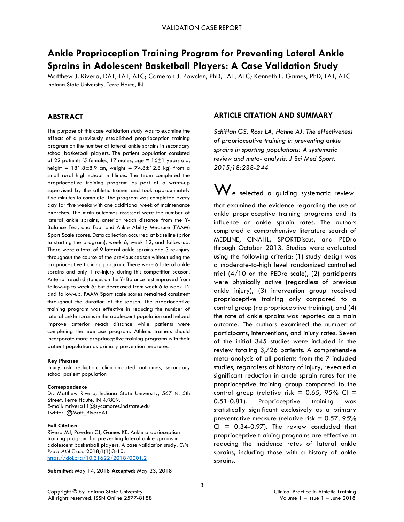# **Ankle Proprioception Training Program for Preventing Lateral Ankle Sprains in Adolescent Basketball Players: A Case Validation Study**

Matthew J. Rivera, DAT, LAT, ATC; Cameron J. Powden, PhD, LAT, ATC; Kenneth E. Games, PhD, LAT, ATC Indiana State University, Terre Haute, IN

# **ABSTRACT**

The purpose of this case validation study was to examine the effects of a previously established proprioception training program on the number of lateral ankle sprains in secondary school basketball players. The patient population consisted of 22 patients (5 females, 17 males, age =  $16±1$  years old, height =  $181.8 \pm 8.9$  cm, weight =  $74.8 \pm 12.8$  kg) from a small rural high school in Illinois. The team completed the proprioceptive training program as part of a warm-up supervised by the athletic trainer and took approximately five minutes to complete. The program was completed every day for five weeks with one additional week of maintenance exercises. The main outcomes assessed were the number of lateral ankle sprains, anterior reach distance from the Y-Balance Test, and Foot and Ankle Ability Measure (FAAM) Sport Scale scores. Data collection occurred at baseline (prior to starting the program), week 6, week 12, and follow-up. There were a total of 9 lateral ankle sprains and 3 re-injury throughout the course of the previous season without using the proprioceptive training program. There were 6 lateral ankle sprains and only 1 re-injury during this competition season. Anterior reach distances on the Y- Balance test improved from follow-up to week 6; but decreased from week 6 to week 12 and follow-up. FAAM Sport scale scores remained consistent throughout the duration of the season. The proprioceptive training program was effective in reducing the number of lateral ankle sprains in the adolescent population and helped improve anterior reach distance while patients were completing the exercise program. Athletic trainers should incorporate more proprioceptive training programs with their patient population as primary prevention measures.

#### **Key Phrases**

Injury risk reduction, clinician-rated outcomes, secondary school patient population

#### **Correspondence**

Dr. Matthew Rivera, Indiana State University, 567 N. 5th Street, Terre Haute, IN 47809. E-mail: mrivera11@sycamores.indstate.edu Twitter: @Matt\_RiveraAT

#### **Full Citation**

Rivera MJ, Powden CJ, Games KE. Ankle proprioception training program for preventing lateral ankle sprains in adolescent basketball players: A case validation study. *Clin Pract Athl Train.* 2018;1(1):3-10. <https://doi.org/10.31622/2018/0001.2>

**Submitted**: May 14, 2018 **Accepted**: May 23, 2018

# **ARTICLE CITATION AND SUMMARY**

*Schiftan GS, Ross LA, Hahne AJ. The effectiveness of proprioceptive training in preventing ankle sprains in sporting populations: A systematic review and meta- analysis. J Sci Med Sport. 2015;18:238-244*

 $\mathbf{W}_{\mathsf{e}}$  selected a guiding systematic review $^{\mathsf{l}}$ that examined the evidence regarding the use of ankle proprioceptive training programs and its influence on ankle sprain rates. The authors completed a comprehensive literature search of MEDLINE, CINAHL, SPORTDiscus, and PEDro through October 2013. Studies were evaluated using the following criteria: (1) study design was a moderate-to-high level randomized controlled trial (4/10 on the PEDro scale), (2) participants were physically active (regardless of previous ankle injury), (3) intervention group received proprioceptive training only compared to a control group (no proprioceptive training), and (4) the rate of ankle sprains was reported as a main outcome. The authors examined the number of participants, interventions, and injury rates. Seven of the initial 345 studies were included in the review totaling 3,726 patients. A comprehensive meta-analysis of all patients from the 7 included studies, regardless of history of injury, revealed a significant reduction in ankle sprain rates for the proprioceptive training group compared to the control group (relative risk = 0.65, 95% CI = 0.51-0.81). Proprioceptive training was statistically significant exclusively as a primary preventative measure (relative risk  $= 0.57$ , 95%  $CI = 0.34-0.97$ . The review concluded that proprioceptive training programs are effective at reducing the incidence rates of lateral ankle sprains, including those with a history of ankle sprains.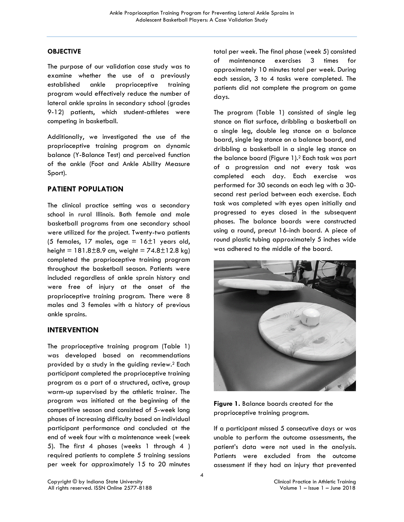# **OBJECTIVE**

The purpose of our validation case study was to examine whether the use of a previously established ankle proprioceptive training program would effectively reduce the number of lateral ankle sprains in secondary school (grades 9-12) patients, which student-athletes were competing in basketball.

Additionally, we investigated the use of the proprioceptive training program on dynamic balance (Y-Balance Test) and perceived function of the ankle (Foot and Ankle Ability Measure Sport).

# **PATIENT POPULATION**

The clinical practice setting was a secondary school in rural Illinois. Both female and male basketball programs from one secondary school were utilized for the project. Twenty-two patients (5 females, 17 males, age  $= 16 \pm 1$  years old, height =  $181.8 \pm 8.9$  cm, weight =  $74.8 \pm 12.8$  kg) completed the proprioceptive training program throughout the basketball season. Patients were included regardless of ankle sprain history and were free of injury at the onset of the proprioceptive training program. There were 8 males and 3 females with a history of previous ankle sprains.

# **INTERVENTION**

The proprioceptive training program (Table 1) was developed based on recommendations provided by a study in the guiding review.2 Each participant completed the proprioceptive training program as a part of a structured, active, group warm-up supervised by the athletic trainer. The program was initiated at the beginning of the competitive season and consisted of 5-week long phases of increasing difficulty based on individual participant performance and concluded at the end of week four with a maintenance week (week 5). The first 4 phases (weeks 1 through 4 ) required patients to complete 5 training sessions per week for approximately 15 to 20 minutes

total per week. The final phase (week 5) consisted of maintenance exercises 3 times for approximately 10 minutes total per week. During each session, 3 to 4 tasks were completed. The patients did not complete the program on game days.

The program (Table 1) consisted of single leg stance on flat surface, dribbling a basketball on a single leg, double leg stance on a balance board, single leg stance on a balance board, and dribbling a basketball in a single leg stance on the balance board (Figure 1).2 Each task was part of a progression and not every task was completed each day. Each exercise was performed for 30 seconds on each leg with a 30 second rest period between each exercise. Each task was completed with eyes open initially and progressed to eyes closed in the subsequent phases. The balance boards were constructed using a round, precut 16-inch board. A piece of round plastic tubing approximately 5 inches wide was adhered to the middle of the board.



**Figure 1.** Balance boards created for the proprioceptive training program.

If a participant missed 5 consecutive days or was unable to perform the outcome assessments, the patient's data were not used in the analysis. Patients were excluded from the outcome assessment if they had an injury that prevented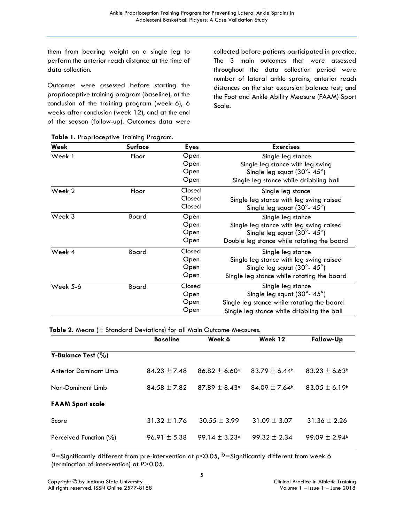them from bearing weight on a single leg to perform the anterior reach distance at the time of data collection.

Outcomes were assessed before starting the proprioceptive training program (baseline), at the conclusion of the training program (week 6), 6 weeks after conclusion (week 12), and at the end of the season (follow-up). Outcomes data were collected before patients participated in practice. The 3 main outcomes that were assessed throughout the data collection period were number of lateral ankle sprains, anterior reach distances on the star excursion balance test, and the Foot and Ankle Ability Measure (FAAM) Sport Scale.

| Week     | Surface | <b>Eyes</b> | <b>Exercises</b>                             |
|----------|---------|-------------|----------------------------------------------|
| Week 1   | Floor   | Open        | Single leg stance                            |
|          |         | Open        | Single leg stance with leg swing             |
|          |         | Open        | Single leg squat $(30^{\circ} - 45^{\circ})$ |
|          |         | Open        | Single leg stance while dribbling ball       |
| Week 2   | Floor   | Closed      | Single leg stance                            |
|          |         | Closed      | Single leg stance with leg swing raised      |
|          |         | Closed      | Single leg squat $(30^{\circ} - 45^{\circ})$ |
| Week 3   | Board   | Open        | Single leg stance                            |
|          |         | Open        | Single leg stance with leg swing raised      |
|          |         | Open        | Single leg squat (30°-45°)                   |
|          |         | Open        | Double leg stance while rotating the board   |
| Week 4   | Board   | Closed      | Single leg stance                            |
|          |         | Open        | Single leg stance with leg swing raised      |
|          |         | Open        | Single leg squat (30°-45°)                   |
|          |         | Open        | Single leg stance while rotating the board   |
| Week 5-6 | Board   | Closed      | Single leg stance                            |
|          |         | Open        | Single leg squat (30°-45°)                   |
|          |         | Open        | Single leg stance while rotating the board   |
|          |         | Open        | Single leg stance while dribbling the ball   |

**Table 1.** Proprioceptive Training Program.

**Table 2.** Means (± Standard Deviations) for all Main Outcome Measures.

|                               | <b>Baseline</b>  | Week 6                        | Week 12          | Follow-Up                     |
|-------------------------------|------------------|-------------------------------|------------------|-------------------------------|
| <b>Y-Balance Test (%)</b>     |                  |                               |                  |                               |
| <b>Anterior Dominant Limb</b> | $84.23 \pm 7.48$ | $86.82 \pm 6.60$ <sup>a</sup> | $83.79 \pm 6.44$ | $83.23 \pm 6.63$ <sup>b</sup> |
| Non-Dominant Limb             | $84.58 \pm 7.82$ | $87.89 \pm 8.43$ <sup>a</sup> | $84.09 \pm 7.64$ | $83.05 \pm 6.19$ <sup>b</sup> |
| <b>FAAM Sport scale</b>       |                  |                               |                  |                               |
| Score                         | $31.32 \pm 1.76$ | $30.55 \pm 3.99$              | $31.09 \pm 3.07$ | $31.36 \pm 2.26$              |
| Perceived Function (%)        | $96.91 \pm 5.38$ | $99.14 \pm 3.23$ <sup>a</sup> | $99.32 \pm 2.34$ | $99.09 \pm 2.94$              |

 a=Significantly different from pre-intervention at *p*<0.05, b=Significantly different from week 6 (termination of intervention) at *P*>0.05.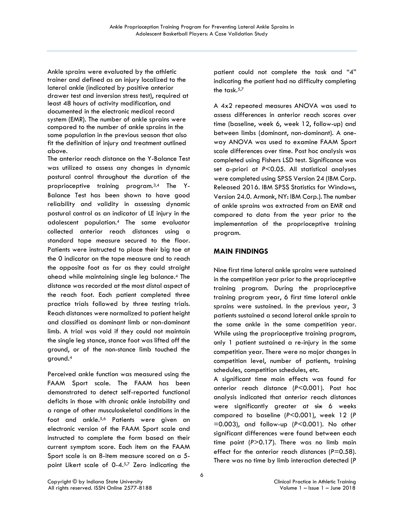Ankle sprains were evaluated by the athletic trainer and defined as an injury localized to the lateral ankle (indicated by positive anterior drawer test and inversion stress test), required at least 48 hours of activity modification, and documented in the electronic medical record system (EMR). The number of ankle sprains were compared to the number of ankle sprains in the same population in the previous season that also fit the definition of injury and treatment outlined above.

The anterior reach distance on the Y-Balance Test was utilized to assess any changes in dynamic postural control throughout the duration of the proprioceptive training program.3,4 The Y-Balance Test has been shown to have good reliability and validity in assessing dynamic postural control as an indicator of LE injury in the adolescent population.4 The same evaluator collected anterior reach distances using a standard tape measure secured to the floor. Patients were instructed to place their big toe at the 0 indicator on the tape measure and to reach the opposite foot as far as they could straight ahead while maintaining single leg balance.4 The distance was recorded at the most distal aspect of the reach foot. Each patient completed three practice trials followed by three testing trials. Reach distances were normalized to patient height and classified as dominant limb or non-dominant limb. A trial was void if they could not maintain the single leg stance, stance foot was lifted off the ground, or of the non-stance limb touched the ground.4

Perceived ankle function was measured using the FAAM Sport scale. The FAAM has been demonstrated to detect self-reported functional deficits in those with chronic ankle instability and a range of other musculoskeletal conditions in the foot and ankle.5,6 Patients were given an electronic version of the FAAM Sport scale and instructed to complete the form based on their current symptom score. Each item on the FAAM Sport scale is an 8-item measure scored on a 5 point Likert scale of 0-4.57 Zero indicating the

patient could not complete the task and "4" indicating the patient had no difficulty completing the task.<sup>5,7</sup>

A 4x2 repeated measures ANOVA was used to assess differences in anterior reach scores over time (baseline, week 6, week 12, follow-up) and between limbs (dominant, non-dominant). A oneway ANOVA was used to examine FAAM Sport scale differences over time. Post hoc analysis was completed using Fishers LSD test. Significance was set a-priori at *P*<0.05. All statistical analyses were completed using SPSS Version 24 (IBM Corp. Released 2016. IBM SPSS Statistics for Windows, Version 24.0. Armonk, NY: IBM Corp.). The number of ankle sprains was extracted from an EMR and compared to data from the year prior to the implementation of the proprioceptive training program.

# **MAIN FINDINGS**

Nine first time lateral ankle sprains were sustained in the competition year prior to the proprioceptive training program. During the proprioceptive training program year, 6 first time lateral ankle sprains were sustained. In the previous year, 3 patients sustained a second lateral ankle sprain to the same ankle in the same competition year. While using the proprioceptive training program, only 1 patient sustained a re-injury in the same competition year. There were no major changes in competition level, number of patients, training schedules, competition schedules, etc.

A significant time main effects was found for anterior reach distance (*P*<0.001). Post hoc analysis indicated that anterior reach distances were significantly greater at six 6 weeks compared to baseline (*P*<0.001), week 12 (*P* =0.003), and follow-up (*P*<0.001). No other significant differences were found between each time point (*P*>0.17). There was no limb main effect for the anterior reach distances (P=0.58). There was no time by limb interaction detected (*P*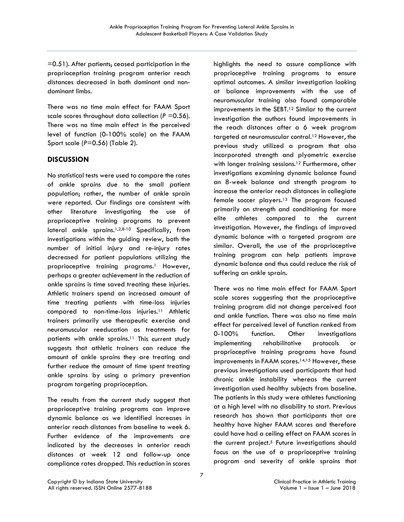$=0.51$ ). After patients, ceased participation in the proprioception training program anterior reach distances decreased in both dominant and nondominant limbs.

There was no time main effect for FAAM Sport scale scores throughout data collection (*P* =0.56). There was no time main effect in the perceived level of function (0-100% scale) on the FAAM Sport scale (*P*=0.56) (Table 2).

# **DISCUSSION**

No statistical tests were used to compare the rates of ankle sprains due to the small patient population; rather, the number of ankle sprain were reported. Our findings are consistent with other literature investigating the use of proprioceptive training programs to prevent lateral ankle sprains.1,2,8-10 Specifically, from investigations within the guiding review, both the number of initial injury and re-injury rates decreased for patient populations utilizing the proprioceptive training programs.<sup>1</sup> However, perhaps a greater achievement in the reduction of ankle sprains is time saved treating these injuries. Athletic trainers spend an increased amount of time treating patients with time-loss injuries compared to non-time-loss injuries.11 Athletic trainers primarily use therapeutic exercise and neuromuscular reeducation as treatments for patients with ankle sprains.<sup>11</sup> This current study suggests that athletic trainers can reduce the amount of ankle sprains they are treating and further reduce the amount of time spent treating ankle sprains by using a primary prevention program targeting proprioception.

The results from the current study suggest that proprioceptive training programs can improve dynamic balance as we identified increases in anterior reach distances from baseline to week 6. Further evidence of the improvements are indicated by the decreases in anterior reach distances at week 12 and follow-up once compliance rates dropped. This reduction in scores

highlights the need to assure compliance with proprioceptive training programs to ensure optimal outcomes. A similar investigation looking at balance improvements with the use of neuromuscular training also found comparable improvements in the SEBT.12 Similar to the current investigation the authors found improvements in the reach distances after a 6 week program targeted at neuromuscular control.12 However, the previous study utilized a program that also incorporated strength and plyometric exercise with longer training sessions.<sup>12</sup> Furthermore, other investigations examining dynamic balance found an 8-week balance and strength program to increase the anterior reach distances in collegiate female soccer players.13 The program focused primarily on strength and conditioning for more elite athletes compared to the current investigation. However, the findings of improved dynamic balance with a targeted program are similar. Overall, the use of the proprioceptive training program can help patients improve dynamic balance and thus could reduce the risk of suffering an ankle sprain.

There was no time main effect for FAAM Sport scale scores suggesting that the proprioceptive training program did not change perceived foot and ankle function. There was also no time main effect for perceived level of function ranked from 0-100% function. Other investigations implementing rehabilitative protocols or proprioceptive training programs have found improvements in FAAM scores.14,15 However, these previous investigations used participants that had chronic ankle instability whereas the current investigation used healthy subjects from baseline. The patients in this study were athletes functioning at a high level with no disability to start. Previous research has shown that participants that are healthy have higher FAAM scores and therefore could have had a ceiling effect on FAAM scores in the current project.<sup>5</sup> Future investigations should focus on the use of a proprioceptive training program and severity of ankle sprains that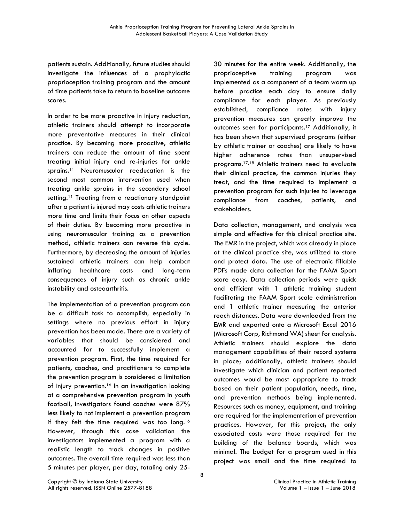patients sustain. Additionally, future studies should investigate the influences of a prophylactic proprioception training program and the amount of time patients take to return to baseline outcome scores.

In order to be more proactive in injury reduction, athletic trainers should attempt to incorporate more preventative measures in their clinical practice. By becoming more proactive, athletic trainers can reduce the amount of time spent treating initial injury and re-injuries for ankle sprains.11 Neuromuscular reeducation is the second most common intervention used when treating ankle sprains in the secondary school setting.<sup>11</sup> Treating from a reactionary standpoint after a patient is injured may costs athletic trainers more time and limits their focus on other aspects of their duties. By becoming more proactive in using neuromuscular training as a prevention method, athletic trainers can reverse this cycle. Furthermore, by decreasing the amount of injuries sustained athletic trainers can help combat inflating healthcare costs and long-term consequences of injury such as chronic ankle instability and osteoarthritis.

The implementation of a prevention program can be a difficult task to accomplish, especially in settings where no previous effort in injury prevention has been made. There are a variety of variables that should be considered and accounted for to successfully implement a prevention program. First, the time required for patients, coaches, and practitioners to complete the prevention program is considered a limitation of injury prevention.16 In an investigation looking at a comprehensive prevention program in youth football, investigators found coaches were 87% less likely to not implement a prevention program if they felt the time required was too long.<sup>16</sup> However, through this case validation the investigators implemented a program with a realistic length to track changes in positive outcomes. The overall time required was less than 5 minutes per player, per day, totaling only 25-

30 minutes for the entire week. Additionally, the proprioceptive training program was implemented as a component of a team warm up before practice each day to ensure daily compliance for each player. As previously established, compliance rates with injury prevention measures can greatly improve the outcomes seen for participants.17 Additionally, it has been shown that supervised programs (either by athletic trainer or coaches) are likely to have higher adherence rates than unsupervised programs.17,18 Athletic trainers need to evaluate their clinical practice, the common injuries they treat, and the time required to implement a prevention program for such injuries to leverage compliance from coaches, patients, and stakeholders.

Data collection, management, and analysis was simple and effective for this clinical practice site. The EMR in the project, which was already in place at the clinical practice site, was utilized to store and protect data. The use of electronic fillable PDFs made data collection for the FAAM Sport score easy. Data collection periods were quick and efficient with 1 athletic training student facilitating the FAAM Sport scale administration and 1 athletic trainer measuring the anterior reach distances. Data were downloaded from the EMR and exported onto a Microsoft Excel 2016 (Microsoft Corp, Richmond WA) sheet for analysis. Athletic trainers should explore the data management capabilities of their record systems in place; additionally, athletic trainers should investigate which clinician and patient reported outcomes would be most appropriate to track based on their patient population, needs, time, and prevention methods being implemented. Resources such as money, equipment, and training are required for the implementation of prevention practices. However, for this project, the only associated costs were those required for the building of the balance boards, which was minimal. The budget for a program used in this project was small and the time required to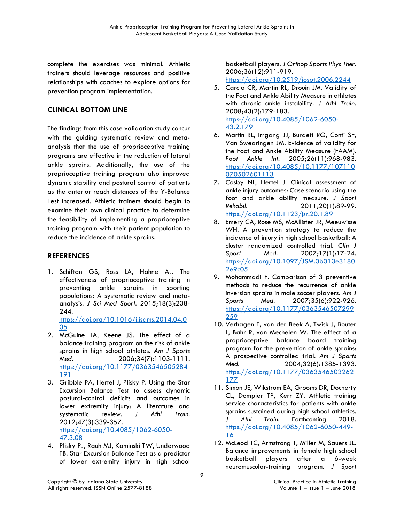complete the exercises was minimal. Athletic trainers should leverage resources and positive relationships with coaches to explore options for prevention program implementation.

# **CLINICAL BOTTOM LINE**

The findings from this case validation study concur with the guiding systematic review and metaanalysis that the use of proprioceptive training programs are effective in the reduction of lateral ankle sprains. Additionally, the use of the proprioceptive training program also improved dynamic stability and postural control of patients as the anterior reach distances of the Y-Balance Test increased. Athletic trainers should begin to examine their own clinical practice to determine the feasibility of implementing a proprioceptive training program with their patient population to reduce the incidence of ankle sprains.

# **REFERENCES**

1. Schiftan GS, Ross LA, Hahne AJ. The effectiveness of proprioceptive training in preventing ankle sprains in sporting populations: A systematic review and metaanalysis. *J Sci Med Sport.* 2015;18(3):238- 244. [https://doi.org/10.1016/j.jsams.2014.04.0](https://doi.org/10.1016/j.jsams.2014.04.005)

[05](https://doi.org/10.1016/j.jsams.2014.04.005)

- 2. McGuine TA, Keene JS. The effect of a balance training program on the risk of ankle sprains in high school athletes. *Am J Sports Med.* 2006;34(7):1103-1111. [https://doi.org/10.1177/0363546505284](https://doi.org/10.1177/0363546505284191) [191](https://doi.org/10.1177/0363546505284191)
- 3. Gribble PA, Hertel J, Plisky P. Using the Star Excursion Balance Test to assess dynamic postural-control deficits and outcomes in lower extremity injury: A literature and systematic review. *J Athl Train.*  2012;47(3):339-357. [https://doi.org/10.4085/1062-6050-](https://doi.org/10.4085/1062-6050-47.3.08) [47.3.08](https://doi.org/10.4085/1062-6050-47.3.08)
- 4. Plisky PJ, Rauh MJ, Kaminski TW, Underwood FB. Star Excursion Balance Test as a predictor of lower extremity injury in high school

basketball players. *J Orthop Sports Phys Ther.*  2006;36(12):911-919.

<https://doi.org/10.2519/jospt.2006.2244>

- 5. Carcia CR, Martin RL, Drouin JM. Validity of the Foot and Ankle Ability Measure in athletes with chronic ankle instability. *J Athl Train.*  2008;43(2):179-183. [https://doi.org/10.4085/1062-6050-](https://doi.org/10.4085/1062-6050-43.2.179) [43.2.179](https://doi.org/10.4085/1062-6050-43.2.179)
- 6. Martin RL, Irrgang JJ, Burdett RG, Conti SF, Van Swearingen JM. Evidence of validity for the Foot and Ankle Ability Measure (FAAM). *Foot Ankle Int.* 2005;26(11):968-983. [https://doi.org/10.4085/10.1177/107110](https://doi.org/10.4085/10.1177/107110070502601113) [070502601113](https://doi.org/10.4085/10.1177/107110070502601113)
- 7. Cosby NL, Hertel J. Clinical assessment of ankle injury outcomes: Case scenario using the foot and ankle ability measure. *J Sport Rehabil.* 2011;20(1):89-99. <https://doi.org/10.1123/jsr.20.1.89>
- 8. Emery CA, Rose MS, McAllister JR, Meeuwisse WH. A prevention strategy to reduce the incidence of injury in high school basketball: A cluster randomized controlled trial. *Clin J Sport Med.* 2007;17(1):17-24. [https://doi.org/10.1097/JSM.0b013e3180](https://doi.org/10.1097/JSM.0b013e31802e9c05) [2e9c05](https://doi.org/10.1097/JSM.0b013e31802e9c05)
- 9. Mohammadi F. Comparison of 3 preventive methods to reduce the recurrence of ankle inversion sprains in male soccer players. *Am J Sports Med.* 2007;35(6):922-926. [https://doi.org/10.1177/0363546507299](https://doi.org/10.1177/0363546507299259) [259](https://doi.org/10.1177/0363546507299259)
- 10. Verhagen E, van der Beek A, Twisk J, Bouter L, Bahr R, van Mechelen W. The effect of a proprioceptive balance board training program for the prevention of ankle sprains: A prospective controlled trial. *Am J Sports Med.* 2004;32(6):1385-1393. [https://doi.org/10.1177/0363546503262](https://doi.org/10.1177/0363546503262177) [177](https://doi.org/10.1177/0363546503262177)
- 11. Simon JE, Wikstrom EA, Grooms DR, Docherty CL, Dompier TP, Kerr ZY. Athletic training service characteristics for patients with ankle sprains sustained during high school athletics. *J Athl Train.* Forthcoming 2018. [https://doi.org/10.4085/1062-6050-449-](https://doi.org/10.4085/1062-6050-449-16) [16](https://doi.org/10.4085/1062-6050-449-16)
- 12. McLeod TC, Armstrong T, Miller M, Sauers JL. Balance improvements in female high school basketball players after a 6-week neuromuscular-training program. *J Sport*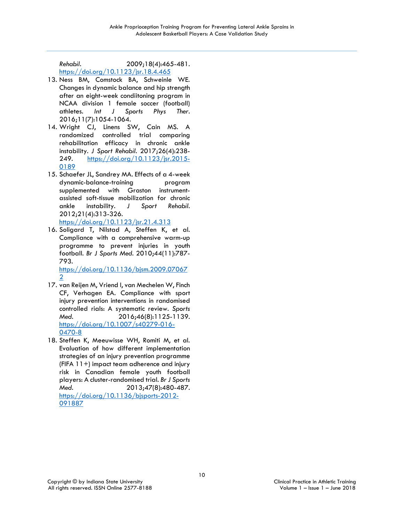*Rehabil.* 2009;18(4):465-481. <https://doi.org/10.1123/jsr.18.4.465>

- 13. Ness BM, Comstock BA, Schweinle WE. Changes in dynamic balance and hip strength after an eight-week condiitoning program in NCAA division 1 female soccer (football) athletes. *Int J Sports Phys Ther.*  2016;11(7):1054-1064.
- 14. Wright CJ, Linens SW, Cain MS. A randomized controlled trial comparing rehabilitation efficacy in chronic ankle instability. *J Sport Rehabil.* 2017;26(4):238- 249. [https://doi.org/10.1123/jsr.2015-](https://doi.org/10.1123/jsr.2015-0189) [0189](https://doi.org/10.1123/jsr.2015-0189)
- 15. Schaefer JL, Sandrey MA. Effects of a 4-week dynamic-balance-training program supplemented with Graston instrumentassisted soft-tissue mobilization for chronic ankle instability. *J Sport Rehabil.*  2012;21(4):313-326.
- <https://doi.org/10.1123/jsr.21.4.313> 16. Soligard T, Nilstad A, Steffen K, et al.
- Compliance with a comprehensive warm-up programme to prevent injuries in youth football. *Br J Sports Med.* 2010;44(11):787- 793. [https://doi.org/10.1136/bjsm.2009.07067](https://doi.org/10.1136/bjsm.2009.070672)

[2](https://doi.org/10.1136/bjsm.2009.070672)

- 17. van Reijen M, Vriend I, van Mechelen W, Finch CF, Verhagen EA. Compliance with sport injury prevention interventions in randomised controlled rials: A systematic review. *Sports Med.* 2016;46(8):1125-1139. [https://doi.org/10.1007/s40279-016-](https://doi.org/10.1007/s40279-016-0470-8) [0470-8](https://doi.org/10.1007/s40279-016-0470-8)
- 18. Steffen K, Meeuwisse WH, Romiti M, et al. Evaluation of how different implementation strategies of an injury prevention programme (FIFA 11+) impact team adherence and injury risk in Canadian female youth football players: A cluster-randomised trial. *Br J Sports Med.* 2013;47(8):480-487. [https://doi.org/10.1136/bjsports-2012-](https://doi.org/10.1136/bjsports-2012-091887) [091887](https://doi.org/10.1136/bjsports-2012-091887)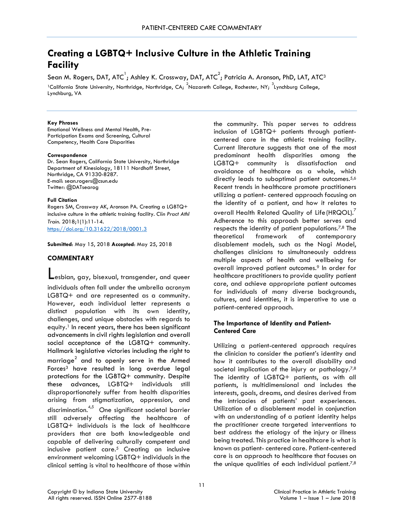# **Creating a LGBTQ+ Inclusive Culture in the Athletic Training Facility**

Sean M. Rogers, DAT, ATC $^{\rm l}$ ; Ashley K. Crossway, DAT, ATC $^{\rm 2}$ ; Patricia A. Aronson, PhD, LAT, ATC $^{\rm 3}$ <sup>1</sup>California State University, Northridge, Northridge, CA; <sup>2</sup>Nazareth College, Rochester, NY; <sup>3</sup>Lynchburg College, Lynchburg, VA

#### **Key Phrases**

Emotional Wellness and Mental Health, Pre-Participation Exams and Screening, Cultural Competency, Health Care Disparities

#### **Correspondence**

Dr. Sean Rogers, California State University, Northridge Department of Kinesiology, 18111 Nordhoff Street, Northridge, CA 91330-8287. E-mail: [sean.rogers@csun.edu](mailto:sean.rogers@csun.edu)  Twitter: @DATsearog

#### **Full Citation**

Rogers SM, Crossway AK, Aronson PA. Creating a LGBTQ+ inclusive culture in the athletic training facility. *Clin Pract Athl Train*. 2018;1(1):11-14. <https://doi.org/10.31622/2018/0001.3>

**Submitted**: May 15, 2018 **Accepted**: May 25, 2018

#### **COMMENTARY**

Lesbian, gay, bisexual, transgender, and queer individuals often fall under the umbrella acronym LGBTQ+ and are represented as a community.

However, each individual letter represents a distinct population with its own identity, challenges, and unique obstacles with regards to equity.<sup>1</sup> In recent years, there has been significant advancements in civil rights legislation and overall social acceptance of the LGBTQ+ community. Hallmark legislative victories including the right to marriage<sup>2</sup> and to openly serve in the Armed Forces3 have resulted in long overdue legal protections for the LGBTQ+ community. Despite these advances, LGBTQ+ individuals still disproportionately suffer from health disparities arising from stigmatization, oppression, and discrimination.  $4,5$  One significant societal barrier still adversely affecting the healthcare of LGBTQ+ individuals is the lack of healthcare providers that are both knowledgeable and capable of delivering culturally competent and inclusive patient care.5 Creating an inclusive environment welcoming LGBTQ+ individuals in the clinical setting is vital to healthcare of those within

the community. This paper serves to address inclusion of LGBTQ+ patients through patientcentered care in the athletic training facility. Current literature suggests that one of the most predominant health disparities among the LGBTQ+ community is dissatisfaction and avoidance of healthcare as a whole, which directly leads to suboptimal patient outcomes.5,6 Recent trends in healthcare promote practitioners utilizing a patient- centered approach focusing on the identity of a patient, and how it relates to overall Health Related Quality of Life(HRQOL).<sup>7</sup> Adherence to this approach better serves and respects the identity of patient populations.7,8 The theoretical framework of contemporary disablement models, such as the Nagi Model, challenges clinicians to simultaneously address multiple aspects of health and wellbeing for overall improved patient outcomes.<sup>9</sup> In order for healthcare practitioners to provide quality patient care, and achieve appropriate patient outcomes for individuals of many diverse backgrounds, cultures, and identities, it is imperative to use a patient-centered approach.

# **The Importance of Identity and Patient-Centered Care**

Utilizing a patient-centered approach requires the clinician to consider the patient's identity and how it contributes to the overall disability and societal implication of the injury or pathology. $7,8$ The identity of LGBTQ+ patients, as with all patients, is multidimensional and includes the interests, goals, dreams, and desires derived from the intricacies of patients' past experiences. Utilization of a disablement model in conjunction with an understanding of a patient identity helps the practitioner create targeted interventions to best address the etiology of the injury or illness being treated. This practice in healthcare is what is known as patient- centered care. Patient-centered care is an approach to healthcare that focuses on the unique qualities of each individual patient. $7,8$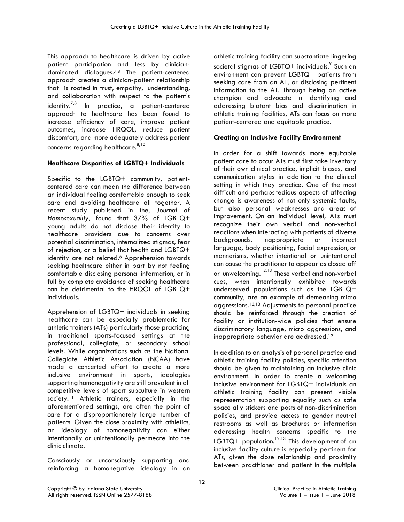This approach to healthcare is driven by active patient participation and less by cliniciandominated dialogues.7,8 The patient-centered approach creates a clinician-patient relationship that is rooted in trust, empathy, understanding, and collaboration with respect to the patient's identity.<sup>7,8</sup> In practice, a patient-centered approach to healthcare has been found to increase efficiency of care, improve patient outcomes, increase HRQOL, reduce patient discomfort, and more adequately address patient concerns regarding healthcare.  $8,10$ 

## **Healthcare Disparities of LGBTQ+ Individuals**

Specific to the LGBTQ+ community, patientcentered care can mean the difference between an individual feeling comfortable enough to seek care and avoiding healthcare all together. A recent study published in the, *Journal of Homosexuality,* found that 37% of LGBTQ+ young adults do not disclose their identity to healthcare providers due to concerns over potential discrimination, internalized stigmas, fear of rejection, or a belief that health and LGBTQ+ identity are not related.<sup>6</sup> Apprehension towards seeking healthcare either in part by not feeling comfortable disclosing personal information, or in full by complete avoidance of seeking healthcare can be detrimental to the HRQOL of LGBTQ+ individuals.

Apprehension of LGBTQ+ individuals in seeking healthcare can be especially problematic for athletic trainers (ATs) particularly those practicing in traditional sports-focused settings at the professional, collegiate, or secondary school levels. While organizations such as the National Collegiate Athletic Association (NCAA) have made a concerted effort to create a more inclusive environment in sports, ideologies supporting homonegativity are still prevalent in all competitive levels of sport subculture in western society.<sup>11</sup> Athletic trainers, especially in the aforementioned settings, are often the point of care for a disproportionately large number of patients. Given the close proximity with athletics, an ideology of homonegativity can either intentionally or unintentionally permeate into the clinic climate.

Consciously or unconsciously supporting and reinforcing a homonegative ideology in an

athletic training facility can substantiate lingering societal stiamas of LGBTQ+ individuals. Such an environment can prevent LGBTQ+ patients from seeking care from an AT, or disclosing pertinent information to the AT. Through being an active champion and advocate in identifying and addressing blatant bias and discrimination in athletic training facilities, ATs can focus on more patient-centered and equitable practice.

## **Creating an Inclusive Facility Environment**

In order for a shift towards more equitable patient care to occur ATs must first take inventory of their own clinical practice, implicit biases, and communication styles in addition to the clinical setting in which they practice. One of the most difficult and perhaps tedious aspects of affecting change is awareness of not only systemic faults, but also personal weaknesses and areas of improvement. On an individual level, ATs must recognize their own verbal and non-verbal reactions when interacting with patients of diverse backgrounds. Inappropriate or incorrect language, body positioning, facial expression, or mannerisms, whether intentional or unintentional can cause the practitioner to appear as closed off or unwelcoming.<sup>12,13</sup> These verbal and non-verbal cues, when intentionally exhibited towards underserved populations such as the LGBTQ+ community, are an example of demeaning micro aggressions.12,13 Adjustments to personal practice should be reinforced through the creation of facility or institution-wide policies that ensure discriminatory language, micro aggressions, and inappropriate behavior are addressed.12

In addition to an analysis of personal practice and athletic training facility policies, specific attention should be given to maintaining an inclusive clinic environment. In order to create a welcoming inclusive environment for LGBTQ+ individuals an athletic training facility can present visible representation supporting equality such as safe space ally stickers and posts of non-discrimination policies, and provide access to gender neutral restrooms as well as brochures or information addressing health concerns specific to the LGBTQ+ population.<sup>12,13</sup> This development of an inclusive facility culture is especially pertinent for ATs, given the close relationship and proximity between practitioner and patient in the multiple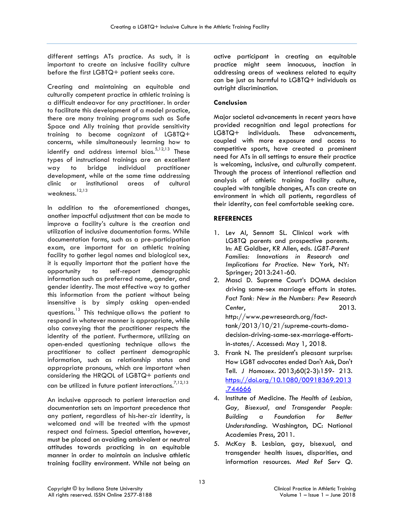different settings ATs practice. As such, it is important to create an inclusive facility culture before the first LGBTQ+ patient seeks care.

Creating and maintaining an equitable and culturally competent practice in athletic training is a difficult endeavor for any practitioner. In order to facilitate this development of a model practice, there are many training programs such as Safe Space and Ally training that provide sensitivity training to become cognizant of LGBTQ+ concerns, while simultaneously learning how to identify and address internal bias. $5,12,13$  These types of instructional trainings are an excellent way to bridge individual practitioner development, while at the same time addressing clinic or institutional areas of cultural weakness. $^{12,13}$ 

In addition to the aforementioned changes, another impactful adjustment that can be made to improve a facility's culture is the creation and utilization of inclusive documentation forms. While documentation forms, such as a pre-participation exam, are important for an athletic training facility to gather legal names and biological sex, it is equally important that the patient have the opportunity to self-report demographic information such as preferred name, gender, and gender identity. The most effective way to gather this information from the patient without being insensitive is by simply asking open-ended questions.13 This technique allows the patient to respond in whatever manner is appropriate, while also conveying that the practitioner respects the identity of the patient. Furthermore, utilizing an open-ended questioning technique allows the practitioner to collect pertinent demographic information, such as relationship status and appropriate pronouns, which are important when considering the HRQOL of LGBTQ+ patients and can be utilized in future patient interactions.<sup>7,12,13</sup>

An inclusive approach to patient interaction and documentation sets an important precedence that any patient, regardless of his-her-zir identity, is welcomed and will be treated with the upmost respect and fairness. Special attention, however, must be placed on avoiding ambivalent or neutral attitudes towards practicing in an equitable manner in order to maintain an inclusive athletic training facility environment. While not being an

active participant in creating an equitable practice might seem innocuous, inaction in addressing areas of weakness related to equity can be just as harmful to LGBTQ+ individuals as outright discrimination.

# **Conclusion**

Major societal advancements in recent years have provided recognition and legal protections for LGBTQ+ individuals. These advancements, coupled with more exposure and access to competitive sports, have created a prominent need for ATs in all settings to ensure their practice is welcoming, inclusive, and culturally competent. Through the process of intentional reflection and analysis of athletic training facility culture, coupled with tangible changes, ATs can create an environment in which all patients, regardless of their identity, can feel comfortable seeking care.

# **REFERENCES**

[.744666](https://doi.org/10.1080/00918369.2013.744666)

- 1. Lev AI, Sennott SL. Clinical work with LGBTQ parents and prospective parents. In: AE Goldber, KR Allen, eds. *LGBT-Parent Families: Innovations in Research and Implications for Practice.* New York, NY: Springer; 2013:241-60.
- 2. Masci D. Supreme Court's DOMA decision driving same-sex marriage efforts in states. *Fact Tank: New in the Numbers: Pew Research Center*, 2013[.](http://www.pewresearch.org/fact-) [http://www.pewresearch.org/fact](http://www.pewresearch.org/fact-)tank/2013/10/21/supreme-courts-domadecision-driving-same-sex-marriage-efforts-
- in-states/. Accessed: May 1, 2018. 3. Frank N. The president's pleasant surprise: How LGBT advocates ended Don't Ask, Don't Tell. *J Homosex.* 2013;60(2-3):159- 213. [https://doi.org/10.1080/00918369.2013](https://doi.org/10.1080/00918369.2013.744666)
- 4. Institute of Medicine. *The Health of Lesbian, Gay, Bisexual, and Transgender People: Building a Foundation for Better Understanding.* Washington, DC: National Academies Press, 2011.
- 5. McKay B. Lesbian, gay, bisexual, and transgender health issues, disparities, and information resources. *Med Ref Serv Q.*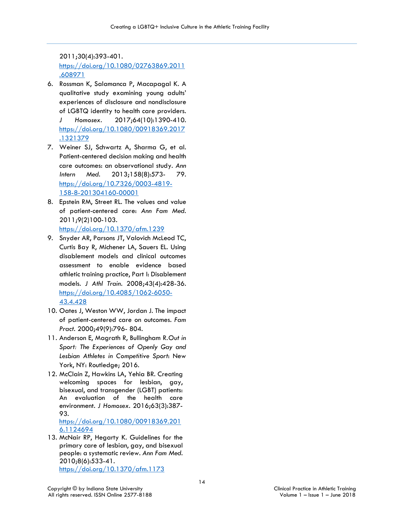2011;30(4):393-401. [https://doi.org/10.1080/02763869.2011](https://doi.org/10.1080/02763869.2011.608971) [.608971](https://doi.org/10.1080/02763869.2011.608971)

- 6. Rossman K, Salamanca P, Macapagal K. A qualitative study examining young adults' experiences of disclosure and nondisclosure of LGBTQ identity to health care providers. *J Homosex.* 2017;64(10):1390-410. [https://doi.org/10.1080/00918369.2017](https://doi.org/10.1080/00918369.2017.1321379) [.1321379](https://doi.org/10.1080/00918369.2017.1321379)
- 7. Weiner SJ, Schwartz A, Sharma G, et al. Patient-centered decision making and health care outcomes: an observational study. *Ann Intern Med.* 2013;158(8):573- 79. [https://doi.org/10.7326/0003-4819-](https://doi.org/10.7326/0003-4819-158-8-201304160-00001) [158-8-201304160-00001](https://doi.org/10.7326/0003-4819-158-8-201304160-00001)
- 8. Epstein RM, Street RL. The values and value of patient-centered care: *Ann Fam Med.*  2011;9(2)100-103. <https://doi.org/10.1370/afm.1239>
- 9. Snyder AR, Parsons JT, Valovich McLeod TC, Curtis Bay R, Michener LA, Sauers EL. Using disablement models and clinical outcomes assessment to enable evidence based athletic training practice, Part I: Disablement models. *J Athl Train.* 2008;43(4):428-36. [https://doi.org/10.4085/1062-6050-](https://doi.org/10.4085/1062-6050-43.4.428) [43.4.428](https://doi.org/10.4085/1062-6050-43.4.428)
- 10. Oates J, Weston WW, Jordan J. The impact of patient-centered care on outcomes. *Fam Pract.* 2000;49(9):796- 804.
- 11. Anderson E, Magrath R, Bullingham R.*Out in Sport: The Experiences of Openly Gay and Lesbian Athletes in Competitive Sport*: New York, NY: Routledge; 2016.
- 12. McClain Z, Hawkins LA, Yehia BR. Creating welcoming spaces for lesbian, gay, bisexual, and transgender (LGBT) patients: An evaluation of the health care environment. *J Homosex.* 2016;63(3):387- 93.

[https://doi.org/10.1080/00918369.201](https://doi.org/10.1080/00918369.2016.1124694) [6.1124694](https://doi.org/10.1080/00918369.2016.1124694)

13. McNair RP, Hegarty K. Guidelines for the primary care of lesbian, gay, and bisexual people: a systematic review. *Ann Fam Med.* 2010;8(6):533-41. <https://doi.org/10.1370/afm.1173>

Copyright © by Indiana State University Clinical Practice in Athletic Training All rights reserved. ISSN Online 2577-8188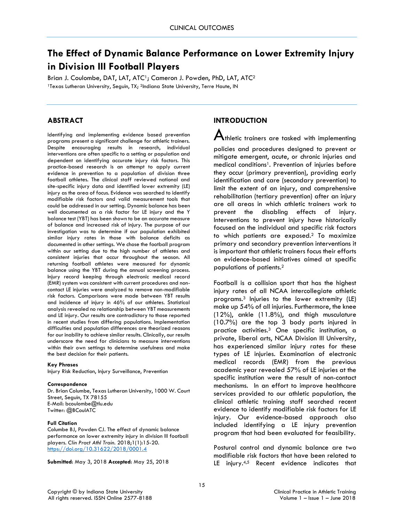# **The Effect of Dynamic Balance Performance on Lower Extremity Injury in Division III Football Players**

Brian J. Coulombe, DAT, LAT, ATC<sup>1</sup>; Cameron J. Powden, PhD, LAT, ATC<sup>2</sup> 1Texas Lutheran University, Seguin, TX; <sup>2</sup>Indiana State University, Terre Haute, IN

# **ABSTRACT**

Identifying and implementing evidence based prevention programs present a significant challenge for athletic trainers. Despite encouraging results in research, individual interventions are often specific to a setting or population and dependent on identifying accurate injury risk factors. This practice-based research is an attempt to apply current evidence in prevention to a population of division three football athletes. The clinical staff reviewed national and site-specific injury data and identified lower extremity (LE) injury as the area of focus. Evidence was searched to identify modifiable risk factors and valid measurement tools that could be addressed in our setting. Dynamic balance has been well documented as a risk factor for LE injury and the Y balance test (YBT) has been shown to be an accurate measure of balance and increased risk of injury. The purpose of our investigation was to determine if our population exhibited similar injury rates in those with balance deficits as documented in other settings. We chose the football program within our setting due to the high number of athletes and consistent injuries that occur throughout the season. All returning football athletes were measured for dynamic balance using the YBT during the annual screening process. Injury record keeping through electronic medical record (EMR) system was consistent with current procedures and noncontact LE injuries were analyzed to remove non-modifiable risk factors. Comparisons were made between YBT results and incidence of injury in 46% of our athletes. Statistical analysis revealed no relationship between YBT measurements and LE injury. Our results are contradictory to those reported in recent studies from differing populations. Implementation difficulties and population differences are theorized reasons for our inability to achieve similar results. Clinically, our results underscore the need for clinicians to measure interventions within their own settings to determine usefulness and make the best decision for their patients.

#### **Key Phrases**

Injury Risk Reduction, Injury Surveillance, Prevention

#### **Correspondence**

Dr. Brian Columbe, Texas Lutheran University, 1000 W. Court Street, Seguin, TX 78155 E-Mail: bcoulombe@tlu.edu Twitter: @BCoulATC

#### **Full Citation**

Columbe BJ, Powden CJ. The effect of dynamic balance performance on lower extremity injury in division III football players. *Clin Pract Athl Train.* 2018;1(1):15-20. <https://doi.org/10.31622/2018/0001.4>

**Submitted**: May 3, 2018 **Accepted**: May 25, 2018

# **INTRODUCTION**

 ${\mathbf A}$ thletic trainers are tasked with implementing

policies and procedures designed to prevent or mitigate emergent, acute, or chronic injuries and medical conditions<sup>1</sup>. Prevention of injuries before they occur (primary prevention), providing early identification and care (secondary prevention) to limit the extent of an injury, and comprehensive rehabilitation (tertiary prevention) after an injury are all areas in which athletic trainers work to prevent the disabling effects of injury. Interventions to prevent injury have historically focused on the individual and specific risk factors to which patients are exposed.2 To maximize primary and secondary prevention interventions it is important that athletic trainers focus their efforts on evidence-based initiatives aimed at specific populations of patients.2

Football is a collision sport that has the highest injury rates of all NCAA intercollegiate athletic programs.3 Injuries to the lower extremity (LE) make up 54% of all injuries. Furthermore, the knee (12%), ankle (11.8%), and thigh musculature (10.7%) are the top 3 body parts injured in practice activities.3 One specific institution, a private, liberal arts, NCAA Division III University, has experienced similar injury rates for these types of LE injuries. Examination of electronic medical records (EMR) from the previous academic year revealed 57% of LE injuries at the specific institution were the result of non-contact mechanisms. In an effort to improve healthcare services provided to our athletic population, the clinical athletic training staff searched recent evidence to identify modifiable risk factors for LE injury. Our evidence-based approach also included identifying a LE injury prevention program that had been evaluated for feasibility.

Postural control and dynamic balance are two modifiable risk factors that have been related to LE injury.<sup>4,5</sup> Recent evidence indicates that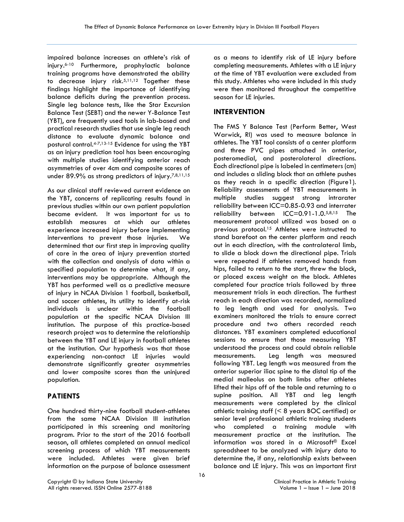impaired balance increases an athlete's risk of injury.6-10 Furthermore, prophylactic balance training programs have demonstrated the ability to decrease injury risk.5,11,12 Together these findings highlight the importance of identifying balance deficits during the prevention process. Single leg balance tests, like the Star Excursion Balance Test (SEBT) and the newer Y-Balance Test (YBT), are frequently used tools in lab-based and practical research studies that use single leg reach distance to evaluate dynamic balance and postural control.4-7,13-15 Evidence for using the YBT as an injury prediction tool has been encouraging with multiple studies identifying anterior reach asymmetries of over 4cm and composite scores of under 89.9% as strong predictors of injury.7,8,11,15

As our clinical staff reviewed current evidence on the YBT, concerns of replicating results found in previous studies within our own patient population became evident. It was important for us to establish measures at which our athletes experience increased injury before implementing interventions to prevent those injuries. We determined that our first step in improving quality of care in the area of injury prevention started with the collection and analysis of data within a specified population to determine what, if any, interventions may be appropriate. Although the YBT has performed well as a predictive measure of injury in NCAA Division 1 football, basketball, and soccer athletes, its utility to identify at-risk individuals is unclear within the football population at the specific NCAA Division III institution. The purpose of this practice-based research project was to determine the relationship between the YBT and LE injury in football athletes at the institution. Our hypothesis was that those experiencing non-contact LE injuries would demonstrate significantly greater asymmetries and lower composite scores than the uninjured population.

# **PATIENTS**

One hundred thirty-nine football student-athletes from the same NCAA Division III institution participated in this screening and monitoring program. Prior to the start of the 2016 football season, all athletes completed an annual medical screening process of which YBT measurements were included. Athletes were given brief information on the purpose of balance assessment

as a means to identify risk of LE injury before completing measurements. Athletes with a LE injury at the time of YBT evaluation were excluded from this study. Athletes who were included in this study were then monitored throughout the competitive season for LE injuries.

# **INTERVENTION**

The FMS Y Balance Test (Perform Better, West Warwick, RI) was used to measure balance in athletes. The YBT tool consists of a center platform and three PVC pipes attached in anterior, posteromedial, and posterolateral directions. Each directional pipe is labeled in centimeters (cm) and includes a sliding block that an athlete pushes as they reach in a specific direction (Figure1). Reliability assessments of YBT measurements in multiple studies suggest strong intrarater reliability between ICC=0.85-0.93 and interrater reliability between ICC=0.91-1.0.5,8,15 The measurement protocol utilized was based on a previous protocol.15 Athletes were instructed to stand barefoot on the center platform and reach out in each direction, with the contralateral limb, to slide a block down the directional pipe. Trials were repeated if athletes removed hands from hips, failed to return to the start, threw the block, or placed excess weight on the block. Athletes completed four practice trials followed by three measurement trials in each direction. The furthest reach in each direction was recorded, normalized to leg length and used for analysis. Two examiners monitored the trials to ensure correct procedure and two others recorded reach distances. YBT examiners completed educational sessions to ensure that those measuring YBT understood the process and could obtain reliable measurements. Leg length was measured following YBT. Leg length was measured from the anterior superior iliac spine to the distal tip of the medial malleolus on both limbs after athletes lifted their hips off of the table and returning to a supine position. All YBT and leg length measurements were completed by the clinical athletic training staff (< 8 years BOC certified) or senior level professional athletic training students who completed a training module with measurement practice at the institution. The information was stored in a Microsoft® Excel spreadsheet to be analyzed with injury data to determine the, if any, relationship exists between balance and LE injury. This was an important first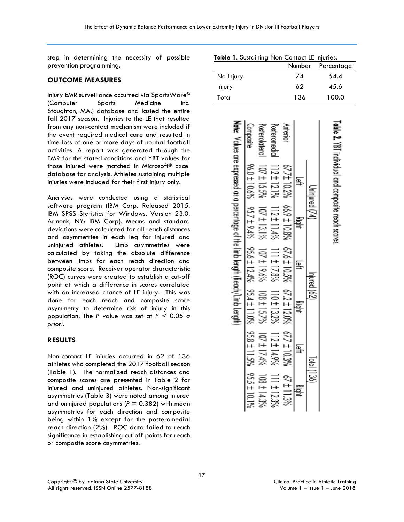step in determining the necessity of possible prevention programming.

#### **OUTCOME MEASURES**

Injury EMR surveillance occurred via SportsWare© (Computer Sports Medicine Inc. Stoughton, MA.) database and lasted the entire fall 2017 season. Injuries to the LE that resulted from any non-contact mechanism were included if the event required medical care and resulted in time-loss of one or more days of normal football activities. A report was generated through the EMR for the stated conditions and YBT values for those injured were matched in Microsoft® Excel database for analysis. Athletes sustaining multiple injuries were included for their first injury only.

Analyses were conducted using a statistical software program (IBM Corp. Released 2015. IBM SPSS Statistics for Windows, Version 23.0. Armonk, NY: IBM Corp). Means and standard deviations were calculated for all reach distances and asymmetries in each leg for injured and uninjured athletes. Limb asymmetries were calculated by taking the absolute difference between limbs for each reach direction and composite score. Receiver operator characteristic (ROC) curves were created to establish a cut-off point at which a difference in scores correlated with an increased chance of LE injury. This was done for each reach and composite score asymmetry to determine risk of injury in this population. The *P* value was set at *P* < 0.05 *a priori*.

#### **RESULTS**

Non-contact LE injuries occurred in 62 of 136 athletes who completed the 2017 football season (Table 1). The normalized reach distances and composite scores are presented in Table 2 for injured and uninjured athletes. Non-significant asymmetries (Table 3) were noted among injured and uninjured populations ( $P = 0.382$ ) with mean asymmetries for each direction and composite being within 1% except for the posteromedial reach direction (2%). ROC data failed to reach significance in establishing cut off points for reach or composite score asymmetries.

| Table 1. Sustaining Non-Contact LE Injuries.                                      |               |                |                                                                                                                                                                                                                                                                                                                                                                                                 |                   |                 |             |                                            |
|-----------------------------------------------------------------------------------|---------------|----------------|-------------------------------------------------------------------------------------------------------------------------------------------------------------------------------------------------------------------------------------------------------------------------------------------------------------------------------------------------------------------------------------------------|-------------------|-----------------|-------------|--------------------------------------------|
|                                                                                   |               |                |                                                                                                                                                                                                                                                                                                                                                                                                 |                   | Number          |             | Percentage                                 |
| No Injury                                                                         |               |                |                                                                                                                                                                                                                                                                                                                                                                                                 |                   | $\overline{74}$ |             | 54.4                                       |
| Injury                                                                            |               |                |                                                                                                                                                                                                                                                                                                                                                                                                 |                   | 62              |             | 45.6                                       |
| Total                                                                             |               |                |                                                                                                                                                                                                                                                                                                                                                                                                 |                   | 136             |             | 100.0                                      |
| Note: Yalues are expressed as a percentage of the limb length (Readh/Limb Length) |               |                |                                                                                                                                                                                                                                                                                                                                                                                                 |                   |                 |             | Laple 7. VD. Individual conposite records: |
|                                                                                   |               | $15.5\%$       | $12 \pm 121\%$                                                                                                                                                                                                                                                                                                                                                                                  | 67.7± 10.2%       | ą               |             |                                            |
|                                                                                   | $957 + 9.4\%$ | 07 ± 13.1%     | $12 \pm 11.4\%$                                                                                                                                                                                                                                                                                                                                                                                 | 66.9 ± 10.8%      |                 |             |                                            |
|                                                                                   |               | 07 ± 19.6%     | 111 ± 17.8%                                                                                                                                                                                                                                                                                                                                                                                     | $67.6 \pm 10.5\%$ | ≩               | ā           |                                            |
|                                                                                   | %01           | $08 \pm 157\%$ | 10 ± 13.2%                                                                                                                                                                                                                                                                                                                                                                                      | 67.2 ± 12.0%      |                 |             |                                            |
|                                                                                   |               |                |                                                                                                                                                                                                                                                                                                                                                                                                 | F / /9            |                 | Total (136) |                                            |
|                                                                                   |               |                | $\begin{array}{cccc}\n \frac{1}{16} & \frac{1}{16} & \frac{1}{16} \\ \frac{1}{16} & \frac{1}{16} & \frac{1}{16} & \frac{1}{16} \\ \frac{1}{16} & \frac{1}{16} & \frac{1}{16} & \frac{1}{16} \\ \frac{1}{16} & \frac{1}{16} & \frac{1}{16} & \frac{1}{16} \\ \frac{1}{16} & \frac{1}{16} & \frac{1}{16} & \frac{1}{16} & \frac{1}{16} \\ \frac{1}{16} & \frac{1}{16} & \frac{1}{16} & \frac{1}{$ |                   |                 |             |                                            |

|  | Table 1. Sustaining Non-Contact LE Injuries |  |
|--|---------------------------------------------|--|
|  |                                             |  |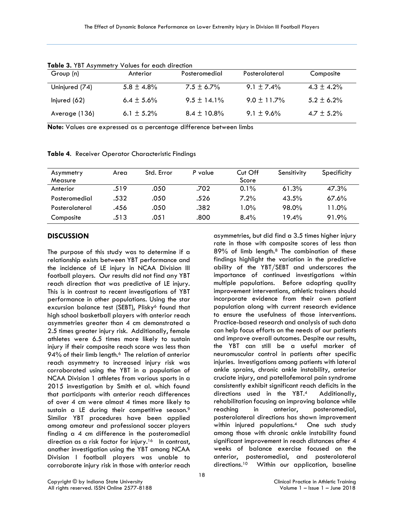| Group (n)      | Anterior        | Posteromedial    | Posterolateral   | Composite       |
|----------------|-----------------|------------------|------------------|-----------------|
| Uninjured (74) | $5.8 \pm 4.8\%$ | $7.5 \pm 6.7\%$  | $9.1 \pm 7.4\%$  | $4.3 \pm 4.2\%$ |
| Injured $(62)$ | $6.4 \pm 5.6\%$ | $9.5 \pm 14.1\%$ | $9.0 \pm 11.7\%$ | $5.2 \pm 6.2\%$ |
| Average (136)  | 6.1 $\pm$ 5.2%  | $8.4 \pm 10.8\%$ | $9.1 \pm 9.6\%$  | 4.7 $\pm$ 5.2%  |

**Table 3.** YBT Asymmetry Values for each direction

**Note:** Values are expressed as a percentage difference between limbs

| Asymmetry      | Area | Std. Error | P value | Cut Off | Sensitivity | Specificity |
|----------------|------|------------|---------|---------|-------------|-------------|
| Measure        |      |            |         | Score   |             |             |
| Anterior       | .519 | .050       | .702    | $0.1\%$ | 61.3%       | 47.3%       |
| Posteromedial  | .532 | .050       | .526    | 7.2%    | 43.5%       | 67.6%       |
| Posterolateral | .456 | .050       | .382    | $1.0\%$ | 98.0%       | 11.0%       |
| Composite      | .513 | .051       | .800    | 8.4%    | 19.4%       | 91.9%       |

**Table 4**. Receiver Operator Characteristic Findings

# **DISCUSSION**

The purpose of this study was to determine if a relationship exists between YBT performance and the incidence of LE injury in NCAA Division III football players. Our results did not find any YBT reach direction that was predictive of LE injury. This is in contrast to recent investigations of YBT performance in other populations. Using the star excursion balance test (SEBT), Plisky<sup>6</sup> found that high school basketball players with anterior reach asymmetries greater than 4 cm demonstrated a 2.5 times greater injury risk. Additionally, female athletes were 6.5 times more likely to sustain injury if their composite reach score was less than 94% of their limb length.<sup>6</sup> The relation of anterior reach asymmetry to increased injury risk was corroborated using the YBT in a population of NCAA Division 1 athletes from various sports in a 2015 investigation by Smith et al. which found that participants with anterior reach differences of over 4 cm were almost 4 times more likely to sustain a LE during their competitive season.9 Similar YBT procedures have been applied among amateur and professional soccer players finding a 4 cm difference in the posteromedial direction as a risk factor for injury.<sup>16</sup> In contrast, another investigation using the YBT among NCAA Division I football players was unable to corroborate injury risk in those with anterior reach

asymmetries, but did find a 3.5 times higher injury rate in those with composite scores of less than 89% of limb length.8 The combination of these findings highlight the variation in the predictive ability of the YBT/SEBT and underscores the importance of continued investigations within multiple populations. Before adopting quality improvement interventions, athletic trainers should incorporate evidence from their own patient population along with current research evidence to ensure the usefulness of those interventions. Practice-based research and analysis of such data can help focus efforts on the needs of our patients and improve overall outcomes. Despite our results, the YBT can still be a useful marker of neuromuscular control in patients after specific injuries. Investigations among patients with lateral ankle sprains, chronic ankle instability, anterior cruciate injury, and patellofemoral pain syndrome consistently exhibit significant reach deficits in the directions used in the YBT.4 Additionally, rehabilitation focusing on improving balance while reaching in anterior, posteromedial, posterolateral directions has shown improvement within injured populations.4 One such study among those with chronic ankle instability found significant improvement in reach distances after 4 weeks of balance exercise focused on the anterior, posteromedial, and posterolateral directions.10 Within our application, baseline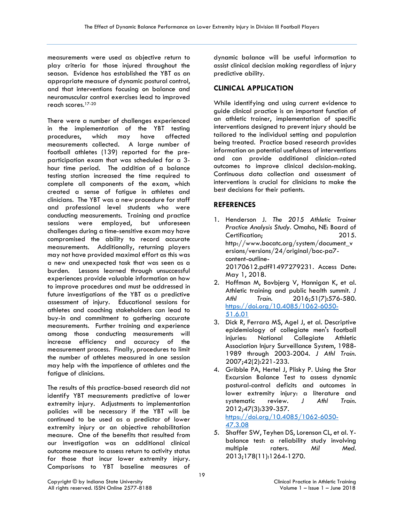measurements were used as objective return to play criteria for those injured throughout the season. Evidence has established the YBT as an appropriate measure of dynamic postural control, and that interventions focusing on balance and neuromuscular control exercises lead to improved reach scores.17-20

There were a number of challenges experienced in the implementation of the YBT testing procedures, which may have affected measurements collected. A large number of football athletes (139) reported for the preparticipation exam that was scheduled for a 3 hour time period. The addition of a balance testing station increased the time required to complete all components of the exam, which created a sense of fatigue in athletes and clinicians. The YBT was a new procedure for staff and professional level students who were conducting measurements. Training and practice sessions were employed, but unforeseen challenges during a time-sensitive exam may have compromised the ability to record accurate measurements. Additionally, returning players may not have provided maximal effort as this was a new and unexpected task that was seen as a burden. Lessons learned through unsuccessful experiences provide valuable information on how to improve procedures and must be addressed in future investigations of the YBT as a predictive assessment of injury. Educational sessions for athletes and coaching stakeholders can lead to buy-in and commitment to gathering accurate measurements. Further training and experience among those conducting measurements will increase efficiency and accuracy of the measurement process. Finally, procedures to limit the number of athletes measured in one session may help with the impatience of athletes and the fatigue of clinicians.

The results of this practice-based research did not identify YBT measurements predictive of lower extremity injury. Adjustments to implementation policies will be necessary if the YBT will be continued to be used as a predictor of lower extremity injury or an objective rehabilitation measure. One of the benefits that resulted from our investigation was an additional clinical outcome measure to assess return to activity status for those that incur lower extremity injury. Comparisons to YBT baseline measures of

dynamic balance will be useful information to assist clinical decision making regardless of injury predictive ability.

# **CLINICAL APPLICATION**

While identifying and using current evidence to guide clinical practice is an important function of an athletic trainer, implementation of specific interventions designed to prevent injury should be tailored to the individual setting and population being treated. Practice based research provides information on potential usefulness of interventions and can provide additional clinician-rated outcomes to improve clinical decision-making. Continuous data collection and assessment of interventions is crucial for clinicians to make the best decisions for their patients.

# **REFERENCES**

- 1. Henderson J. *The 2015 Athletic Trainer Practice Analysis Study*. Omaha, NE: Board of Certification; 2015. http://www.bocatc.org/system/document\_v ersions/versions/24/original/boc-pa7 content-outline-20170612.pdf?1497279231. Access Date: May 1, 2018.
- 2. Hoffman M, Bovbjerg V, Hannigan K, et al. Athletic training and public health summit. *J Athl Train.* 2016;51(7):576-580. [https://doi.org/10.4085/1062-6050-](https://doi.org/10.4085/1062-6050-51.6.01) [51.6.01](https://doi.org/10.4085/1062-6050-51.6.01)
- 3. Dick R, Ferrara MS, Agel J, et al. Descriptive epidemiology of collegiate men's football injuries: National Collegiate Athletic Association Injury Surveillance System, 1988- 1989 through 2003-2004. *J Athl Train.* 2007;42(2):221-233.
- 4. Gribble PA, Hertel J, Plisky P. Using the Star Excursion Balance Test to assess dynamic postural-control deficits and outcomes in lower extremity injury: a literature and systematic review. *J Athl Train.*  2012;47(3):339-357. [https://doi.org/10.4085/1062-6050-](https://doi.org/10.4085/1062-6050-47.3.08) [47.3.08](https://doi.org/10.4085/1062-6050-47.3.08)
- 5. Shaffer SW, Teyhen DS, Lorenson CL, et al. Ybalance test: a reliability study involving multiple raters. *Mil Med.*  2013;178(11):1264-1270.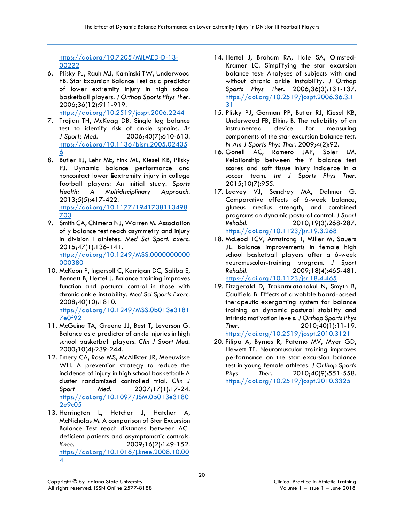# [https://doi.org/10.7205/MILMED-D-13-](https://doi.org/10.7205/MILMED-D-13-00222) [00222](https://doi.org/10.7205/MILMED-D-13-00222)

- 6. Plisky PJ, Rauh MJ, Kaminski TW, Underwood FB. Star Excursion Balance Test as a predictor of lower extremity injury in high school basketball players. *J Orthop Sports Phys Ther.*  2006;36(12):911-919. <https://doi.org/10.2519/jospt.2006.2244>
- 7. Trojian TH, McKeag DB. Single leg balance test to identify risk of ankle sprains. *Br J Sports Med.* 2006;40(7):610-613. [https://doi.org/10.1136/bjsm.2005.02435](https://doi.org/10.1136/bjsm.2005.024356) [6](https://doi.org/10.1136/bjsm.2005.024356)
- 8. Butler RJ, Lehr ME, Fink ML, Kiesel KB, Plisky PJ. Dynamic balance performance and noncontact lower Eextremity injury in college football players: An initial study. *Sports Health: A Multidisciplinary Approach.*  2013;5(5):417-422. [https://doi.org/10.1177/1941738113498](https://doi.org/10.1177/1941738113498703) [703](https://doi.org/10.1177/1941738113498703)
- 9. Smith CA, Chimera NJ, Warren M. Association of y balance test reach asymmetry and injury in division I athletes. *Med Sci Sport. Exerc.*  2015;47(1):136-141. [https://doi.org/10.1249/MSS.0000000000](https://doi.org/10.1249/MSS.0000000000000380) [000380](https://doi.org/10.1249/MSS.0000000000000380)
- 10. McKeon P, Ingersoll C, Kerrigan DC, Saliba E, Bennett B, Hertel J. Balance training improves function and postural control in those with chronic ankle instability. *Med Sci Sports Exerc.*  2008;40(10):1810. [https://doi.org/10.1249/MSS.0b013e3181](https://doi.org/10.1249/MSS.0b013e31817e0f92)

[7e0f92](https://doi.org/10.1249/MSS.0b013e31817e0f92)

- 11. McGuine TA, Greene JJ, Best T, Leverson G. Balance as a predictor of ankle injuries in high school basketball players. *Clin J Sport Med.*  2000;10(4):239-244.
- 12. Emery CA, Rose MS, McAllister JR, Meeuwisse WH. A prevention strategy to reduce the incidence of injury in high school basketball: A cluster randomized controlled trial. *Clin J Sport Med.* 2007;17(1):17-24. [https://doi.org/10.1097/JSM.0b013e3180](https://doi.org/10.1097/JSM.0b013e31802e9c05) [2e9c05](https://doi.org/10.1097/JSM.0b013e31802e9c05)
- 13. Herrington L, Hatcher J, Hatcher A, McNicholas M. A comparison of Star Excursion Balance Test reach distances between ACL deficient patients and asymptomatic controls. *Knee.* 2009;16(2):149-152. [https://doi.org/10.1016/j.knee.2008.10.00](https://doi.org/10.1016/j.knee.2008.10.004) [4](https://doi.org/10.1016/j.knee.2008.10.004)
- 14. Hertel J, Braham RA, Hale SA, Olmsted-Kramer LC. Simplifying the star excursion balance test: Analyses of subjects with and without chronic ankle instability. *J Orthop Sports Phys Ther.* 2006;36(3):131-137. [https://doi.org/10.2519/jospt.2006.36.3.1](https://doi.org/10.2519/jospt.2006.36.3.131) [31](https://doi.org/10.2519/jospt.2006.36.3.131)
- 15. Plisky PJ, Gorman PP, Butler RJ, Kiesel KB, Underwood FB, Elkins B. The reliability of an instrumented device for measuring components of the star excursion balance test. *N Am J Sports Phys Ther.* 2009;4(2):92.
- 16. Gonell AC, Romero JAP, Soler LM. Relationship between the Y balance test scores and soft tissue injury incidence in a soccer team. *Int J Sports Phys Ther.*  2015;10(7):955.
- 17. Leavey VJ, Sandrey MA, Dahmer G. Comparative effects of 6-week balance, gluteus medius strength, and combined programs on dynamic postural control. *J Sport Rehabil.* 2010;19(3):268-287. <https://doi.org/10.1123/jsr.19.3.268>
- 18. McLeod TCV, Armstrong T, Miller M, Sauers JL. Balance improvements in female high school basketball players after a 6-week neuromuscular-training program. *J Sport Rehabil.* 2009;18(4):465-481. <https://doi.org/10.1123/jsr.18.4.465>
- 19. Fitzgerald D, Trakarnratanakul N, Smyth B, Caulfield B. Effects of a wobble board-based therapeutic exergaming system for balance training on dynamic postural stability and intrinsic motivation levels. *J Orthop Sports Phys Ther.* 2010;40(1):11-19. <https://doi.org/10.2519/jospt.2010.3121>
- 20. Filipa A, Byrnes R, Paterno MV, Myer GD, Hewett TE. Neuromuscular training improves performance on the star excursion balance test in young female athletes. *J Orthop Sports Phys Ther.* 2010;40(9):551-558. <https://doi.org/10.2519/jospt.2010.3325>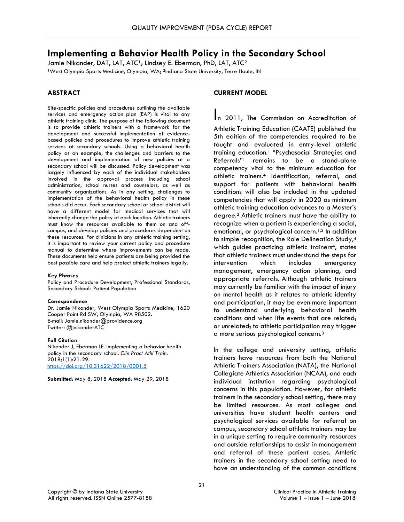# **Implementing a Behavior Health Policy in the Secondary School**

Jamie Nikander, DAT, LAT, ATC<sup>1</sup>; Lindsey E. Eberman, PhD, LAT, ATC<sup>2</sup> <sup>1</sup>West Olympia Sports Medicine, Olympia, WA; <sup>2</sup>Indiana State University, Terre Haute, IN

# **ABSTRACT**

Site-specific policies and procedures outlining the available services and emergency action plan (EAP) is vital to any athletic training clinic. The purpose of the following document is to provide athletic trainers with a framework for the development and successful implementation of evidencebased policies and procedures to improve athletic training services at secondary schools. Using a behavioral health policy as an example, the challenges and barriers to the development and implementation of new policies at a secondary school will be discussed. Policy development was largely influenced by each of the individual stakeholders involved in the approval process including school administration, school nurses and counselors, as well as community organizations. As in any setting, challenges to implementation of the behavioral health policy in these schools did occur. Each secondary school or school district will have a different model for medical services that will inherently change the policy at each location. Athletic trainers must know the resources available to them on and offcampus, and develop policies and procedures dependent on these resources. For clinicians in any athletic training setting, it is important to review your current policy and procedure manual to determine where improvements can be made. These documents help ensure patients are being provided the best possible care and help protect athletic trainers legally.

#### **Key Phrases**

Policy and Procedure Development, Professional Standards, Secondary Schools Patient Population

#### **Correspondence**

Dr. Jamie Nikander, West Olympia Sports Medicine, 1620 Cooper Point Rd SW, Olympia, WA 98502. E-mail: Jamie.nikander@providence.org Twitter: @jnikanderATC

#### **Full Citation**

Nikander J, Eberman LE. Implementing a behavior health policy in the secondary school. *Clin Pract Athl Train.*  2018;1(1):21-29. <https://doi.org/10.31622/2018/0001.5>

**Submitted**: May 8, 2018 **Accepted**: May 29, 2018

# **CURRENT MODEL**

In 2011, The Commission on Accreditation of Athletic Training Education (CAATE) published the 5th edition of the competencies required to be taught and evaluated in entry-level athletic training education.1 "Psychosocial Strategies and Referrals"1 remains to be a stand-alone competency vital to the minimum education for athletic trainers.<sup>+</sup> Identification, referral, and support for patients with behavioral health conditions will also be included in the updated competencies that will apply in 2020 as minimum athletic training education advances to a Master's degree.2 Athletic trainers must have the ability to recognize when a patient is experiencing a social, emotional, or psychological concern.<sup>1,3</sup> In addition to simple recognition, the Role Delineation Study,<sup>4</sup> which quides practicing athletic trainers<sup>4</sup>, states that athletic trainers must understand the steps for intervention which includes emergency management, emergency action planning, and appropriate referrals. Although athletic trainers may currently be familiar with the impact of injury on mental health as it relates to athletic identity and participation, it may be even more important to understand underlying behavioral health conditions and when life events that are related, or unrelated, to athletic participation may trigger a more serious psychological concern.3

In the college and university setting, athletic trainers have resources from both the National Athletic Trainers Association (NATA), the National Collegiate Athletics Association (NCAA), and each individual institution regarding psychological concerns in this population. However, for athletic trainers in the secondary school setting, there may be limited resources. As most colleges and universities have student health centers and psychological services available for referral on campus, secondary school athletic trainers may be in a unique setting to require community resources and outside relationships to assist in management and referral of these patient cases. Athletic trainers in the secondary school setting need to have an understanding of the common conditions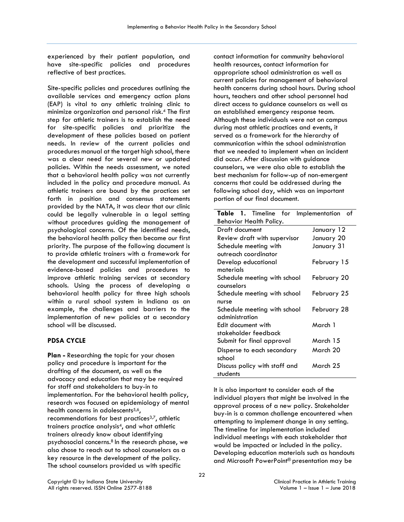experienced by their patient population, and have site-specific policies and procedures reflective of best practices.

Site-specific policies and procedures outlining the available services and emergency action plans (EAP) is vital to any athletic training clinic to minimize organization and personal risk.4 The first step for athletic trainers is to establish the need for site-specific policies and prioritize the development of these policies based on patient needs. In review of the current policies and procedures manual at the target high school, there was a clear need for several new or updated policies. Within the needs assessment, we noted that a behavioral health policy was not currently included in the policy and procedure manual. As athletic trainers are bound by the practices set forth in position and consensus statements provided by the NATA, it was clear that our clinic could be legally vulnerable in a legal setting without procedures guiding the management of psychological concerns. Of the identified needs, the behavioral health policy then became our first priority. The purpose of the following document is to provide athletic trainers with a framework for the development and successful implementation of evidence-based policies and procedures to improve athletic training services at secondary schools. Using the process of developing a behavioral health policy for three high schools within a rural school system in Indiana as an example, the challenges and barriers to the implementation of new policies at a secondary school will be discussed.

# **PDSA CYCLE**

**Plan -** Researching the topic for your chosen policy and procedure is important for the drafting of the document, as well as the advocacy and education that may be required for staff and stakeholders to buy-in to implementation. For the behavioral health policy, research was focused on epidemiology of mental health concerns in adolescents<sup>5,6</sup>, recommendations for best practices<sup>3,7</sup>, athletic trainers practice analysis4, and what athletic trainers already know about identifying psychosocial concerns.8 In the research phase, we also chose to reach out to school counselors as a key resource in the development of the policy. The school counselors provided us with specific

contact information for community behavioral health resources, contact information for appropriate school administration as well as current policies for management of behavioral health concerns during school hours. During school hours, teachers and other school personnel had direct access to guidance counselors as well as an established emergency response team. Although these individuals were not on campus during most athletic practices and events, it served as a framework for the hierarchy of communication within the school administration that we needed to implement when an incident did occur. After discussion with guidance counselors, we were also able to establish the best mechanism for follow-up of non-emergent concerns that could be addressed during the following school day, which was an important portion of our final document.

| Table 1. Timeline for         | Implementation<br>of |
|-------------------------------|----------------------|
| Behavior Health Policy.       |                      |
| Draft document                | January 12           |
| Review draft with supervisor  | January 20           |
| Schedule meeting with         | January 31           |
| outreach coordinator          |                      |
| Develop educational           | February 15          |
| materials                     |                      |
| Schedule meeting with school  | February 20          |
| counselors                    |                      |
| Schedule meeting with school  | February 25          |
| nurse                         |                      |
| Schedule meeting with school  | February 28          |
| administration                |                      |
| Edit document with            | March 1              |
| stakeholder feedback          |                      |
| Submit for final approval     | March 15             |
| Disperse to each secondary    | March 20             |
| school                        |                      |
| Discuss policy with staff and | March 25             |
| students                      |                      |

It is also important to consider each of the individual players that might be involved in the approval process of a new policy. Stakeholder buy-in is a common challenge encountered when attempting to implement change in any setting. The timeline for implementation included individual meetings with each stakeholder that would be impacted or included in the policy. Developing education materials such as handouts and Microsoft PowerPoint® presentation may be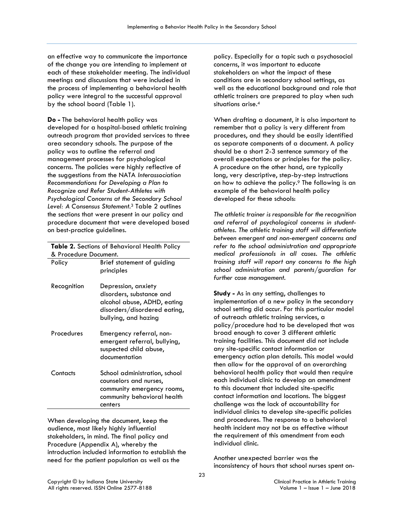an effective way to communicate the importance of the change you are intending to implement at each of these stakeholder meeting. The individual meetings and discussions that were included in the process of implementing a behavioral health policy were integral to the successful approval by the school board (Table 1).

**Do -** The behavioral health policy was developed for a hospital-based athletic training outreach program that provided services to three area secondary schools. The purpose of the policy was to outline the referral and management processes for psychological concerns. The policies were highly reflective of the suggestions from the NATA *Interassociation Recommendations for Developing a Plan to Recognize and Refer Student-Athletes with Psychological Concerns at the Secondary School Level: A Consensus Statement*. <sup>3</sup> Table 2 outlines the sections that were present in our policy and procedure document that were developed based on best-practice guidelines.

**Table 2.** Sections of Behavioral Health Policy & Procedure Document. Policy Brief statement of guiding

| Policy      | Briet statement of guiding<br>principles                                                                                               |
|-------------|----------------------------------------------------------------------------------------------------------------------------------------|
| Recognition | Depression, anxiety<br>disorders, substance and<br>alcohol abuse, ADHD, eating<br>disorders/disordered eating,<br>bullying, and hazing |
| Procedures  | Emergency referral, non-<br>emergent referral, bullying,<br>suspected child abuse,<br>documentation                                    |
| Contacts    | School administration, school<br>counselors and nurses,<br>community emergency rooms,<br>community behavioral health<br>centers        |

When developing the document, keep the audience, most likely highly influential stakeholders, in mind. The final policy and Procedure (Appendix A), whereby the introduction included information to establish the need for the patient population as well as the

policy. Especially for a topic such a psychosocial concerns, it was important to educate stakeholders on what the impact of these conditions are in secondary school settings, as well as the educational background and role that athletic trainers are prepared to play when such situations arise.4

When drafting a document, it is also important to remember that a policy is very different from procedures, and they should be easily identified as separate components of a document. A policy should be a short 2-3 sentence summary of the overall expectations or principles for the policy. A procedure on the other hand, are typically long, very descriptive, step-by-step instructions on how to achieve the policy.9 The following is an example of the behavioral health policy developed for these schools:

*The athletic trainer is responsible for the recognition and referral of psychological concerns in studentathletes. The athletic training staff will differentiate between emergent and non-emergent concerns and refer to the school administration and appropriate medical professionals in all cases. The athletic training staff will report any concerns to the high school administration and parents/guardian for further case management.*

**Study -** As in any setting, challenges to implementation of a new policy in the secondary school setting did occur. For this particular model of outreach athletic training services, a policy/procedure had to be developed that was broad enough to cover 3 different athletic training facilities. This document did not include any site-specific contact information or emergency action plan details. This model would then allow for the approval of an overarching behavioral health policy that would then require each individual clinic to develop an amendment to this document that included site-specific contact information and locations. The biggest challenge was the lack of accountability for individual clinics to develop site-specific policies and procedures. The response to a behavioral health incident may not be as effective without the requirement of this amendment from each individual clinic.

Another unexpected barrier was the inconsistency of hours that school nurses spent on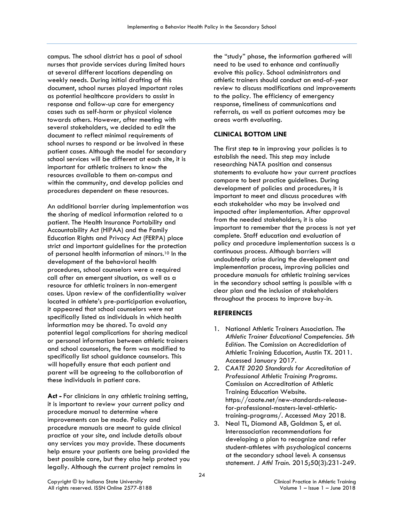campus. The school district has a pool of school nurses that provide services during limited hours at several different locations depending on weekly needs. During initial drafting of this document, school nurses played important roles as potential healthcare providers to assist in response and follow-up care for emergency cases such as self-harm or physical violence towards others. However, after meeting with several stakeholders, we decided to edit the document to reflect minimal requirements of school nurses to respond or be involved in these patient cases. Although the model for secondary school services will be different at each site, it is important for athletic trainers to know the resources available to them on-campus and within the community, and develop policies and procedures dependent on these resources.

An additional barrier during implementation was the sharing of medical information related to a patient. The Health Insurance Portability and Accountability Act (HIPAA) and the Family Education Rights and Privacy Act (FERPA) place strict and important guidelines for the protection of personal health information of minors.10 In the development of the behavioral health procedures, school counselors were a required call after an emergent situation, as well as a resource for athletic trainers in non-emergent cases. Upon review of the confidentiality waiver located in athlete's pre-participation evaluation, it appeared that school counselors were not specifically listed as individuals in which health information may be shared. To avoid any potential legal complications for sharing medical or personal information between athletic trainers and school counselors, the form was modified to specifically list school guidance counselors. This will hopefully ensure that each patient and parent will be agreeing to the collaboration of these individuals in patient care.

**Act -** For clinicians in any athletic training setting, it is important to review your current policy and procedure manual to determine where improvements can be made. Policy and procedure manuals are meant to guide clinical practice at your site, and include details about any services you may provide. These documents help ensure your patients are being provided the best possible care, but they also help protect you legally. Although the current project remains in

the "study" phase, the information gathered will need to be used to enhance and continually evolve this policy. School administrators and athletic trainers should conduct an end-of-year review to discuss modifications and improvements to the policy. The efficiency of emergency response, timeliness of communications and referrals, as well as patient outcomes may be areas worth evaluating.

# **CLINICAL BOTTOM LINE**

The first step to in improving your policies is to establish the need. This step may include researching NATA position and consensus statements to evaluate how your current practices compare to best practice guidelines. During development of policies and procedures, it is important to meet and discuss procedures with each stakeholder who may be involved and impacted after implementation. After approval from the needed stakeholders, it is also important to remember that the process is not yet complete. Staff education and evaluation of policy and procedure implementation success is a continuous process. Although barriers will undoubtedly arise during the development and implementation process, improving policies and procedure manuals for athletic training services in the secondary school setting is possible with a clear plan and the inclusion of stakeholders throughout the process to improve buy-in.

# **REFERENCES**

- 1. National Athletic Trainers Association. *The Athletic Trainer Educational Competencies. 5th Edition*. The Comission on Accredidation of Athletic Training Education, Austin TX. 2011. Accessed January 2017.
- 2. *CAATE 2020 Standards for Accreditation of Professional Athletic Training Programs.*  Comission on Accreditation of Athletic Training Education Website. https://caate.net/new-standards-releasefor-professional-masters-level-athletictraining-programs/. Accessed May 2018.
- 3. Neal TL, Diamond AB, Goldman S, et al. Interassociation recommendations for developing a plan to recognize and refer student-athletes with psychological concerns at the secondary school level: A consensus statement. *J Athl Train.* 2015;50(3):231-249.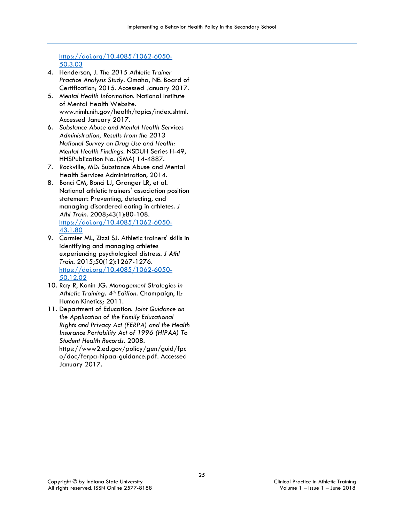# [https://doi.org/10.4085/1062-6050-](https://doi.org/10.4085/1062-6050-50.3.03) [50.3.03](https://doi.org/10.4085/1062-6050-50.3.03)

- 4. Henderson, J. *The 2015 Athletic Trainer Practice Analysis Study*. Omaha, NE: Board of Certification; 2015. Accessed January 2017.
- 5. *Mental Health Information*. National Institute of Mental Health Website. www.nimh.nih.gov/health/topics/index.shtml. Accessed January 2017.
- 6. *Substance Abuse and Mental Health Services Administration, Results from the 2013 National Survey on Drug Use and Health: Mental Health Findings*. NSDUH Series H-49, HHSPublication No. (SMA) 14-4887.
- 7. Rockville, MD: Substance Abuse and Mental Health Services Administration, 2014.
- 8. Bonci CM, Bonci LJ, Granger LR, et al. National athletic trainers' association position statement: Preventing, detecting, and managing disordered eating in athletes. *J Athl Train.* 2008;43(1):80-108. [https://doi.org/10.4085/1062-6050-](https://doi.org/10.4085/1062-6050-43.1.80) [43.1.80](https://doi.org/10.4085/1062-6050-43.1.80)
- 9. Cormier ML, Zizzi SJ. Athletic trainers' skills in identifying and managing athletes experiencing psychological distress. *J Athl Train.* 2015;50(12):1267-1276. [https://doi.org/10.4085/1062-6050-](https://doi.org/10.4085/1062-6050-50.12.02) [50.12.02](https://doi.org/10.4085/1062-6050-50.12.02)
- 10. Ray R, Konin JG. *Management Strategies in Athletic Training. 4th Edition*. Champaign, IL: Human Kinetics; 2011.
- 11. Department of Education. *Joint Guidance on the Application of the Family Educational Rights and Privacy Act (FERPA) and the Health Insurance Portability Act of 1996 (HIPAA) To Student Health Records.* 2008. https://www2.ed.gov/policy/gen/guid/fpc o/doc/ferpa-hipaa-guidance.pdf. Accessed January 2017.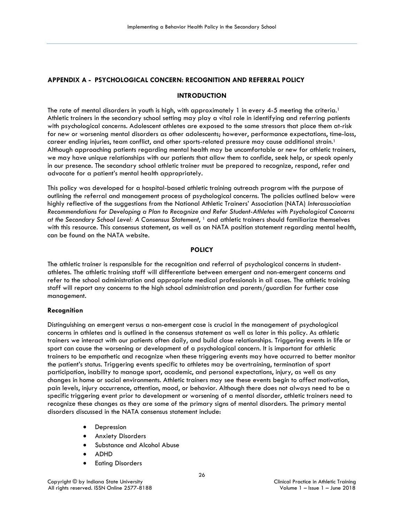# **APPENDIX A - PSYCHOLOGICAL CONCERN: RECOGNITION AND REFERRAL POLICY**

#### **INTRODUCTION**

The rate of mental disorders in youth is high, with approximately 1 in every 4-5 meeting the criteria.<sup>1</sup> Athletic trainers in the secondary school setting may play a vital role in identifying and referring patients with psychological concerns. Adolescent athletes are exposed to the same stressors that place them at-risk for new or worsening mental disorders as other adolescents; however, performance expectations, time-loss, career ending injuries, team conflict, and other sports-related pressure may cause additional strain.<sup>1</sup> Although approaching patients regarding mental health may be uncomfortable or new for athletic trainers, we may have unique relationships with our patients that allow them to confide, seek help, or speak openly in our presence. The secondary school athletic trainer must be prepared to recognize, respond, refer and advocate for a patient's mental health appropriately.

This policy was developed for a hospital-based athletic training outreach program with the purpose of outlining the referral and management process of psychological concerns. The policies outlined below were highly reflective of the suggestions from the National Athletic Trainers' Association (NATA) *Interassociation Recommendations for Developing a Plan to Recognize and Refer Student-Athletes with Psychological Concerns at the Secondary School Level: A Consensus Statement*, 1 and athletic trainers should familiarize themselves with this resource. This consensus statement, as well as an NATA position statement regarding mental health, can be found on the NATA website.

## **POLICY**

The athletic trainer is responsible for the recognition and referral of psychological concerns in studentathletes. The athletic training staff will differentiate between emergent and non-emergent concerns and refer to the school administration and appropriate medical professionals in all cases. The athletic training staff will report any concerns to the high school administration and parents/guardian for further case management.

#### **Recognition**

Distinguishing an emergent versus a non-emergent case is crucial in the management of psychological concerns in athletes and is outlined in the consensus statement as well as later in this policy. As athletic trainers we interact with our patients often daily, and build close relationships. Triggering events in life or sport can cause the worsening or development of a psychological concern. It is important for athletic trainers to be empathetic and recognize when these triggering events may have occurred to better monitor the patient's status. Triggering events specific to athletes may be overtraining, termination of sport participation, inability to manage sport, academic, and personal expectations, injury, as well as any changes in home or social environments. Athletic trainers may see these events begin to affect motivation, pain levels, injury occurrence, attention, mood, or behavior. Although there does not always need to be a specific triggering event prior to development or worsening of a mental disorder, athletic trainers need to recognize these changes as they are some of the primary signs of mental disorders. The primary mental disorders discussed in the NATA consensus statement include:

- **Depression**
- Anxiety Disorders
- Substance and Alcohol Abuse
- ADHD
- Eating Disorders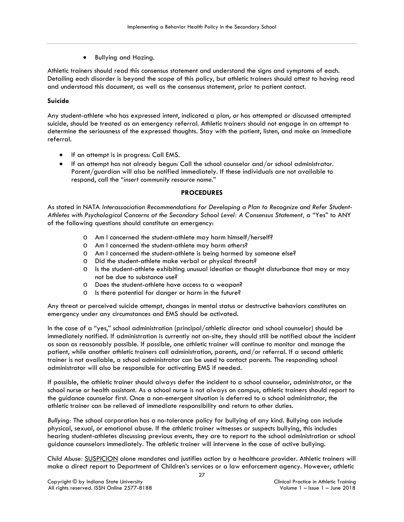• Bullying and Hazing.

Athletic trainers should read this consensus statement and understand the signs and symptoms of each. Detailing each disorder is beyond the scope of this policy, but athletic trainers should attest to having read and understood this document, as well as the consensus statement, prior to patient contact.

# **Suicide**

Any student-athlete who has expressed intent, indicated a plan, or has attempted or discussed attempted suicide, should be treated as an emergency referral. Athletic trainers should not engage in an attempt to determine the seriousness of the expressed thoughts. Stay with the patient, listen, and make an immediate referral.

- If an attempt is in progress: Call EMS.
- If an attempt has not already begun: Call the school counselor and/or school administrator. Parent/guardian will also be notified immediately. If these individuals are not available to respond, call the "*insert community resource name.*"

# **PROCEDURES**

As stated in NATA *Interassociation Recommendations for Developing a Plan to Recognize and Refer Student-Athletes with Psychological Concerns at the Secondary School Level: A Consensus Statement,* a "Yes" to ANY of the following questions should constitute an emergency:

- o Am I concerned the student-athlete may harm himself/herself?
- o Am I concerned the student-athlete may harm others?
- o Am I concerned the student-athlete is being harmed by someone else?
- o Did the student-athlete make verbal or physical threats?
- $\circ$  Is the student-athlete exhibiting unusual ideation or thought disturbance that may or may not be due to substance use?
- o Does the student-athlete have access to a weapon?
- o Is there potential for danger or harm in the future?

Any threat or perceived suicide attempt, changes in mental status or destructive behaviors constitutes an emergency under any circumstances and EMS should be activated.

In the case of a "yes," school administration (principal/athletic director and school counselor) should be immediately notified. If administration is currently not on-site, they should still be notified about the incident as soon as reasonably possible. If possible, one athletic trainer will continue to monitor and manage the patient, while another athletic trainers call administration, parents, and/or referral. If a second athletic trainer is not available, a school administrator can be used to contact parents. The responding school administrator will also be responsible for activating EMS if needed.

If possible, the athletic trainer should always defer the incident to a school counselor, administrator, or the school nurse or health assistant. As a school nurse is not always on campus, athletic trainers should report to the guidance counselor first. Once a non-emergent situation is deferred to a school administrator, the athletic trainer can be relieved of immediate responsibility and return to other duties.

*Bullying:* The school corporation has a no-tolerance policy for bullying of any kind. Bullying can include physical, sexual, or emotional abuse. If the athletic trainer witnesses or suspects bullying, this includes hearing student-athletes discussing previous events, they are to report to the school administration or school guidance counselors immediately. The athletic trainer will intervene in the case of active bullying.

*Child Abuse:* SUSPICION alone mandates and justifies action by a healthcare provider. Athletic trainers will make a direct report to Department of Children's services or a law enforcement agency. However, athletic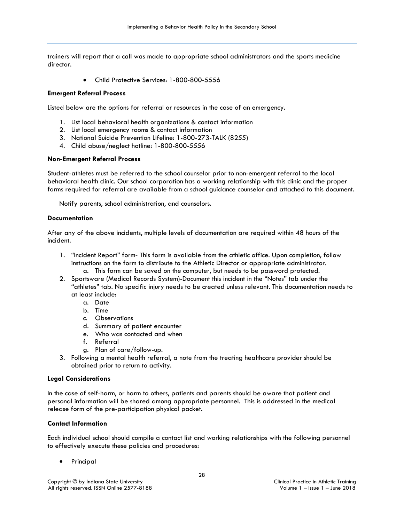trainers will report that a call was made to appropriate school administrators and the sports medicine director.

• Child Protective Services: 1-800-800-5556

#### **Emergent Referral Process**

Listed below are the options for referral or resources in the case of an emergency.

- 1. List local behavioral health organizations & contact information
- 2. List local emergency rooms & contact information
- 3. National Suicide Prevention Lifeline: 1-800-273-TALK (8255)
- 4. Child abuse/neglect hotline: 1-800-800-5556

#### **Non-Emergent Referral Process**

Student-athletes must be referred to the school counselor prior to non-emergent referral to the local behavioral health clinic. Our school corporation has a working relationship with this clinic and the proper forms required for referral are available from a school guidance counselor and attached to this document.

Notify parents, school administration, and counselors.

#### **Documentation**

After any of the above incidents, multiple levels of documentation are required within 48 hours of the incident.

- 1. "Incident Report" form- This form is available from the athletic office. Upon completion, follow instructions on the form to distribute to the Athletic Director or appropriate administrator. a. This form can be saved on the computer, but needs to be password protected.
- 2. Sportsware (Medical Records System)-Document this incident in the "Notes" tab under the "athletes" tab. No specific injury needs to be created unless relevant. This documentation needs to at least include:
	- a. Date
	- b. Time
	- c. Observations
	- d. Summary of patient encounter
	- e. Who was contacted and when
	- f. Referral
	- g. Plan of care/follow-up.
- 3. Following a mental health referral, a note from the treating healthcare provider should be obtained prior to return to activity.

#### **Legal Considerations**

In the case of self-harm, or harm to others, patients and parents should be aware that patient and personal information will be shared among appropriate personnel. This is addressed in the medical release form of the pre-participation physical packet.

# **Contact Information**

Each individual school should compile a contact list and working relationships with the following personnel to effectively execute these policies and procedures:

**Principal**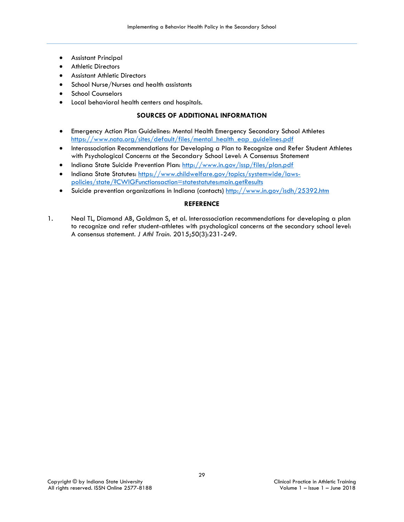- Assistant Principal
- **Athletic Directors**
- Assistant Athletic Directors
- School Nurse/Nurses and health assistants
- School Counselors
- Local behavioral health centers and hospitals.

# **SOURCES OF ADDITIONAL INFORMATION**

- Emergency Action Plan Guidelines: Mental Health Emergency Secondary School Athletes [https://www.nata.org/sites/default/files/mental\\_health\\_eap\\_guidelines.pdf](https://www.nata.org/sites/default/files/mental_health_eap_guidelines.pdf)
- Interassociation Recommendations for Developing a Plan to Recognize and Refer Student Athletes with Psychological Concerns at the Secondary School Level: A Consensus Statement
- Indiana State Suicide Prevention Plan:<http://www.in.gov/issp/files/plan.pdf>
- Indiana State Statutes: [https://www.childwelfare.gov/topics/systemwide/laws](https://www.childwelfare.gov/topics/systemwide/laws-policies/state/?CWIGFunctionsaction=statestatutes:main.getResults)[policies/state/?CWIGFunctionsaction=statestatutes:main.getResults](https://www.childwelfare.gov/topics/systemwide/laws-policies/state/?CWIGFunctionsaction=statestatutes:main.getResults)
- Suicide prevention organizations in Indiana (contacts)<http://www.in.gov/isdh/25392.htm>

# **REFERENCE**

1. Neal TL, Diamond AB, Goldman S, et al. Interassociation recommendations for developing a plan to recognize and refer student-athletes with psychological concerns at the secondary school level: A consensus statement. *J Athl Train.* 2015;50(3):231-249.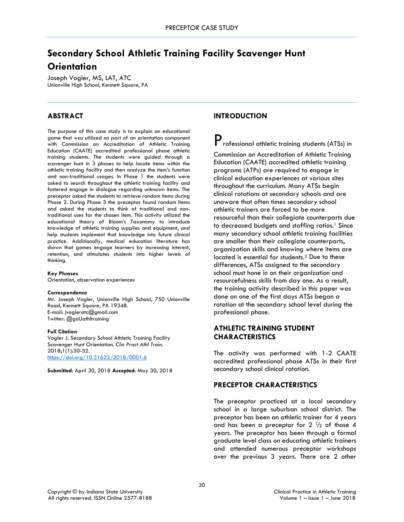# **Secondary School Athletic Training Facility Scavenger Hunt Orientation**

Joseph Vogler, MS, LAT, ATC Unionville High School, Kennett Square, PA

# **ABSTRACT**

The purpose of this case study is to explain an educational game that was utilized as part of an orientation component with Commission on Accreditation of Athletic Training Education (CAATE) accredited professional phase athletic training students. The students were guided through a scavenger hunt in 3 phases to help locate items within the athletic training facility and then analyze the item's function and non-traditional usages. In Phase 1 the students were asked to search throughout the athletic training facility and fostered engage in dialogue regarding unknown items. The preceptor asked the students to retrieve random items during Phase 2. During Phase 3 the preceptor found random items and asked the students to think of traditional and nontraditional uses for the chosen item. This activity utilized the educational theory of Bloom's Taxonomy to introduce knowledge of athletic training supplies and equipment, and help students implement that knowledge into future clinical practice. Additionally, medical education literature has shown that games engage learners by increasing interest, retention, and stimulates students into higher levels of thinking.

#### **Key Phrases**

Orientation, observation experiences

#### **Correspondence**

Mr. Joseph Vogler, Unionville High School, 750 Unionville Road, Kennett Square, PA 19348. E-mail: jvogleratc@gmail.com Twitter: @goUathltraining

#### **Full Citation**

Vogler J. Secondary School Athletic Training Facility Scavenger Hunt Orientation. *Clin Pract Athl Train.*  2018;1(1):30-32. <https://doi.org/10.31622/2018/0001.6>

**Submitted**: April 30, 2018 **Accepted**: May 30, 2018

# **INTRODUCTION**

 $\mathbf P$  rofessional athletic training students (ATSs) in Commission on Accreditation of Athletic Training Education (CAATE) accredited athletic training programs (ATPs) are required to engage in clinical education experiences at various sites throughout the curriculum. Many ATSs begin clinical rotations at secondary schools and are unaware that often times secondary school athletic trainers are forced to be more resourceful than their collegiate counterparts due to decreased budgets and staffing ratios.<sup>1</sup> Since many secondary school athletic training facilities are smaller than their collegiate counterparts, organization skills and knowing where items are located is essential for students.2 Due to these differences, ATSs assigned to the secondary school must hone in on their organization and resourcefulness skills from day one. As a result, the training activity described in this paper was done on one of the first days ATSs began a rotation at the secondary school level during the professional phase.

# **ATHLETIC TRAINING STUDENT CHARACTERISTICS**

The activity was performed with 1-2 CAATE accredited professional phase ATSs in their first secondary school clinical rotation.

# **PRECEPTOR CHARACTERISTICS**

The preceptor practiced at a local secondary school in a large suburban school district. The preceptor has been an athletic trainer for 4 years and has been a preceptor for  $2 \frac{1}{2}$  of those 4 years. The preceptor has been through a formal graduate level class on educating athletic trainers and attended numerous preceptor workshops over the previous 3 years. There are 2 other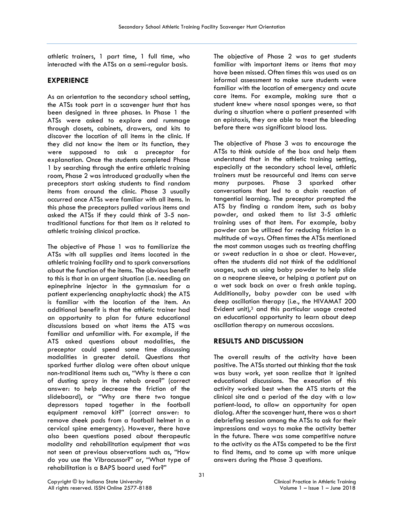athletic trainers, 1 part time, 1 full time, who interacted with the ATSs on a semi-regular basis.

# **EXPERIENCE**

As an orientation to the secondary school setting, the ATSs took part in a scavenger hunt that has been designed in three phases. In Phase 1 the ATSs were asked to explore and rummage through closets, cabinets, drawers, and kits to discover the location of all items in the clinic. If they did not know the item or its function, they were supposed to ask a preceptor for explanation. Once the students completed Phase 1 by searching through the entire athletic training room, Phase 2 was introduced gradually when the preceptors start asking students to find random items from around the clinic. Phase 3 usually occurred once ATSs were familiar with all items. In this phase the preceptors pulled various items and asked the ATSs if they could think of 3-5 nontraditional functions for that item as it related to athletic training clinical practice.

The objective of Phase 1 was to familiarize the ATSs with all supplies and items located in the athletic training facility and to spark conversations about the function of the items. The obvious benefit to this is that in an urgent situation (i.e. needing an epinephrine injector in the gymnasium for a patient experiencing anaphylactic shock) the ATS is familiar with the location of the item. An additional benefit is that the athletic trainer had an opportunity to plan for future educational discussions based on what items the ATS was familiar and unfamiliar with. For example, if the ATS asked questions about modalities, the preceptor could spend some time discussing modalities in greater detail. Questions that sparked further dialog were often about unique non-traditional items such as, "Why is there a can of dusting spray in the rehab area?" (correct answer: to help decrease the friction of the slideboard), or "Why are there two tongue depressors taped together in the football equipment removal kit?" (correct answer: to remove cheek pads from a football helmet in a cervical spine emergency). However, there have also been questions posed about therapeutic modality and rehabilitation equipment that was not seen at previous observations such as, "How do you use the Vibracussor?" or, "What type of rehabilitation is a BAPS board used for?"

The objective of Phase 2 was to get students familiar with important items or items that may have been missed. Often times this was used as an informal assessment to make sure students were familiar with the location of emergency and acute care items. For example, making sure that a student knew where nasal sponges were, so that during a situation where a patient presented with an epistaxis, they are able to treat the bleeding before there was significant blood loss.

The objective of Phase 3 was to encourage the ATSs to think outside of the box and help them understand that in the athletic training setting, especially at the secondary school level, athletic trainers must be resourceful and items can serve many purposes. Phase 3 sparked other conversations that led to a chain reaction of tangential learning. The preceptor prompted the ATS by finding a random item, such as baby powder, and asked them to list 3-5 athletic training uses of that item. For example, baby powder can be utilized for reducing friction in a multitude of ways. Often times the ATSs mentioned the most common usages such as treating chaffing or sweat reduction in a shoe or cleat. However, often the students did not think of the additional usages, such as using baby powder to help slide on a neoprene sleeve, or helping a patient put on a wet sock back on over a fresh ankle taping. Additionally, baby powder can be used with deep oscillation therapy (i.e., the HIVAMAT 200 Evident unit), $3$  and this particular usage created an educational opportunity to learn about deep oscillation therapy on numerous occasions.

# **RESULTS AND DISCUSSION**

The overall results of the activity have been positive. The ATSs started out thinking that the task was busy work, yet soon realize that it ignited educational discussions. The execution of this activity worked best when the ATS starts at the clinical site and a period of the day with a low patient-load, to allow an opportunity for open dialog. After the scavenger hunt, there was a short debriefing session among the ATSs to ask for their impressions and ways to make the activity better in the future. There was some competitive nature to the activity as the ATSs competed to be the first to find items, and to come up with more unique answers during the Phase 3 questions.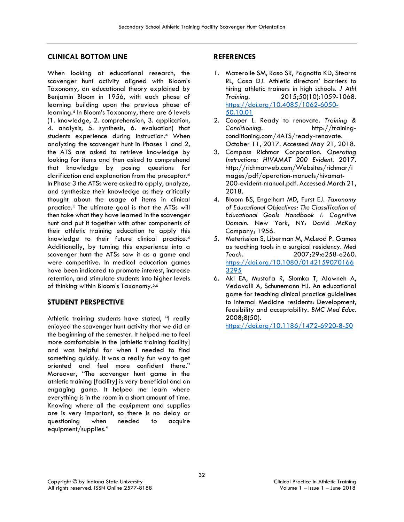# **CLINICAL BOTTOM LINE**

When looking at educational research, the scavenger hunt activity aligned with Bloom's Taxonomy, an educational theory explained by Benjamin Bloom in 1956, with each phase of learning building upon the previous phase of learning.4 In Bloom's Taxonomy, there are 6 levels (1. knowledge, 2. comprehension, 3. application, 4. analysis, 5. synthesis, 6. evaluation) that students experience during instruction.4 When analyzing the scavenger hunt in Phases 1 and 2, the ATS are asked to retrieve knowledge by looking for items and then asked to comprehend that knowledge by posing questions for clarification and explanation from the preceptor.4 In Phase 3 the ATSs were asked to apply, analyze, and synthesize their knowledge as they critically thought about the usage of items in clinical practice.4 The ultimate goal is that the ATSs will then take what they have learned in the scavenger hunt and put it together with other components of their athletic training education to apply this knowledge to their future clinical practice.4 Additionally, by turning this experience into a scavenger hunt the ATSs saw it as a game and were competitive. In medical education games have been indicated to promote interest, increase retention, and stimulate students into higher levels of thinking within Bloom's Taxonomy.5,6

# **STUDENT PERSPECTIVE**

Athletic training students have stated, "I really enjoyed the scavenger hunt activity that we did at the beginning of the semester. It helped me to feel more comfortable in the [athletic training facility] and was helpful for when I needed to find something quickly. It was a really fun way to get oriented and feel more confident there." Moreover, "The scavenger hunt game in the athletic training [facility] is very beneficial and an engaging game. It helped me learn where everything is in the room in a short amount of time. Knowing where all the equipment and supplies are is very important, so there is no delay or questioning when needed to acquire equipment/supplies."

# **REFERENCES**

- 1. Mazerolle SM, Raso SR, Pagnotta KD, Stearns RL, Casa DJ. Athletic directors' barriers to hiring athletic trainers in high schools. *J Athl Training*. 2015;50(10):1059-1068. [https://doi.org/10.4085/1062-6050-](https://doi.org/10.4085/1062-6050-50.10.01) [50.10.01](https://doi.org/10.4085/1062-6050-50.10.01)
- 2. Cooper L. Ready to renovate. *Training & Conditioning*. http://trainingconditioning.com/4ATS/ready-renovate. October 11, 2017. Accessed May 21, 2018.
- 3. Compass Richmar Corporation. *Operating Instructions: HIVAMAT 200 Evident*. 2017. http://richmarweb.com/Websites/richmar/i mages/pdf/operation-manuals/hivamat-200-evident-manual.pdf. Accessed March 21, 2018.
- 4. Bloom BS, Engelhart MD, Furst EJ. *Taxonomy of Educational Objectives: The Classification of Educational Goals Handbook I: Cognitive Domain.* New York, NY: David McKay Company; 1956.
- 5. Meterissian S, Liberman M, McLeod P. Games as teaching tools in a surgical residency. *Med Teach.* 2007;29:e258-e260. [https://doi.org/10.1080/0142159070166](https://doi.org/10.1080/01421590701663295) [3295](https://doi.org/10.1080/01421590701663295)
- 6. Akl EA, Mustafa R, Slomka T, Alawneh A, Vedavalli A, Schunemann HJ. An educational game for teaching clinical practice guidelines to Internal Medicine residents: Development, feasibility and acceptability. *BMC Med Educ*. 2008;8(50).

<https://doi.org/10.1186/1472-6920-8-50>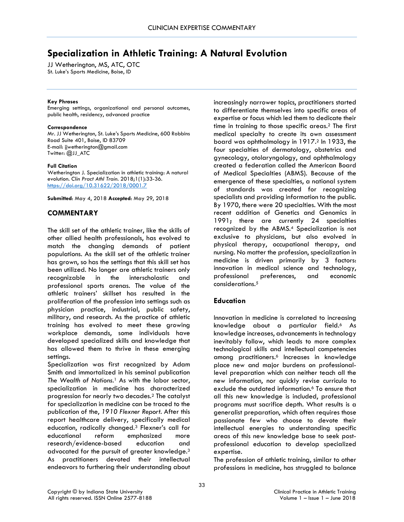# **Specialization in Athletic Training: A Natural Evolution**

JJ Wetherington, MS, ATC, OTC St. Luke's Sports Medicine, Boise, ID

#### **Key Phrases**

Emerging settings, organizational and personal outcomes, public health, residency, advanced practice

#### **Correspondence**

Mr. JJ Wetherington, St. Luke's Sports Medicine, 600 Robbins Road Suite 401, Boise, ID 83709 E-mail: jjwetherington@gmail.com Twitter: @JJ\_ATC

#### **Full Citation**

Wetherington J. Specialization in athletic training: A natural evolution. *Clin Pract Athl Train.* 2018;1(1):33-36. <https://doi.org/10.31622/2018/0001.7>

**Submitted**: May 4, 2018 **Accepted**: May 29, 2018

# **COMMENTARY**

The skill set of the athletic trainer, like the skills of other allied health professionals, has evolved to match the changing demands of patient populations. As the skill set of the athletic trainer has grown, so has the settings that this skill set has been utilized. No longer are athletic trainers only recognizable in the interscholastic and professional sports arenas. The value of the athletic trainers' skillset has resulted in the proliferation of the profession into settings such as physician practice, industrial, public safety, military, and research. As the practice of athletic training has evolved to meet these growing workplace demands, some individuals have developed specialized skills and knowledge that has allowed them to thrive in these emerging settings.

Specialization was first recognized by Adam Smith and immortalized in his seminal publication *The Wealth of Nations*. <sup>1</sup> As with the labor sector, specialization in medicine has characterized progression for nearly two decades.2 The catalyst for specialization in medicine can be traced to the publication of the, *1910 Flexner Report*. After this report healthcare delivery, specifically medical education, radically changed.3 Flexner's call for educational reform emphasized more research/evidence-based education and advocated for the pursuit of greater knowledge.3 As practitioners devoted their intellectual endeavors to furthering their understanding about

increasingly narrower topics, practitioners started to differentiate themselves into specific areas of expertise or focus which led them to dedicate their time in training to those specific areas.2 The first medical specialty to create its own assessment board was ophthalmology in 1917.2 In 1933, the four specialties of dermatology, obstetrics and gynecology, otolaryngology, and ophthalmology created a federation called the American Board of Medical Specialties (ABMS). Because of the emergence of these specialties, a national system of standards was created for recognizing specialists and providing information to the public. By 1970, there were 20 specialties. With the most recent addition of Genetics and Genomics in 1991; there are currently 24 specialties recognized by the ABMS.4 Specialization is not exclusive to physicians, but also evolved in physical therapy, occupational therapy, and nursing. No matter the profession, specialization in medicine is driven primarily by 3 factors: innovation in medical science and technology, professional preferences, and economic considerations.5

# **Education**

Innovation in medicine is correlated to increasing knowledge about a particular field.<sup>6</sup> As knowledge increases, advancements in technology inevitably follow, which leads to more complex technological skills and intellectual competencies among practitioners.6 Increases in knowledge place new and major burdens on professionallevel preparation which can neither teach all the new information, nor quickly revise curricula to exclude the outdated information.<sup>6</sup> To ensure that all this new knowledge is included, professional programs must sacrifice depth. What results is a generalist preparation, which often requires those passionate few who choose to devote their intellectual energies to understanding specific areas of this new knowledge base to seek postprofessional education to develop specialized expertise.

The profession of athletic training, similar to other professions in medicine, has struggled to balance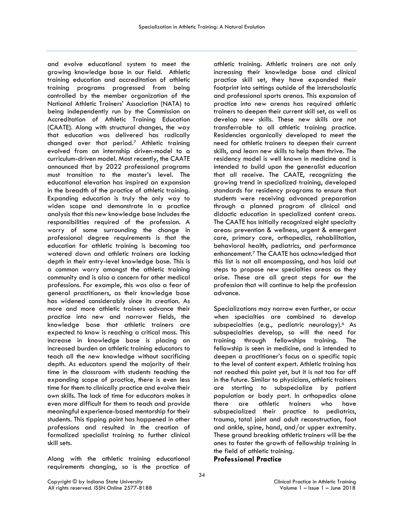and evolve educational system to meet the growing knowledge base in our field. Athletic training education and accreditation of athletic training programs progressed from being controlled by the member organization of the National Athletic Trainers' Association (NATA) to being independently run by the Commission on Accreditation of Athletic Training Education (CAATE). Along with structural changes, the way that education was delivered has radically changed over that period.7 Athletic training evolved from an internship driven-model to a curriculum-driven model. Most recently, the CAATE announced that by 2022 professional programs must transition to the master's level. The educational elevation has inspired an expansion in the breadth of the practice of athletic training. Expanding education is truly the only way to widen scope and demonstrate in a practice analysis that this new knowledge base includes the responsibilities required of the profession. A worry of some surrounding the change in professional degree requirements is that the education for athletic training is becoming too watered down and athletic trainers are lacking depth in their entry-level knowledge base. This is a common worry amongst the athletic training community and is also a concern for other medical professions. For example, this was also a fear of general practitioners, as their knowledge base has widened considerably since its creation. As more and more athletic trainers advance their practice into new and narrower fields, the knowledge base that athletic trainers are expected to know is reaching a critical mass. This increase in knowledge base is placing an increased burden on athletic training educators to teach all the new knowledge without sacrificing depth. As educators spend the majority of their time in the classroom with students teaching the expanding scope of practice, there is even less time for them to clinically practice and evolve their own skills. The lack of time for educators makes it even more difficult for them to teach and provide meaningful experience-based mentorship for their students. This tipping point has happened in other professions and resulted in the creation of formalized specialist training to further clinical skill sets.

Along with the athletic training educational requirements changing, so is the practice of

athletic training. Athletic trainers are not only increasing their knowledge base and clinical practice skill set, they have expanded their footprint into settings outside of the interscholastic and professional sports arenas. This expansion of practice into new arenas has required athletic trainers to deepen their current skill set, as well as develop new skills. These new skills are not transferrable to all athletic training practice. Residencies organically developed to meet the need for athletic trainers to deepen their current skills, and learn new skills to help them thrive. The residency model is well known in medicine and is intended to build upon the generalist education that all receive. The CAATE, recognizing the growing trend in specialized training, developed standards for residency programs to ensure that students were receiving advanced preparation through a planned program of clinical and didactic education in specialized content areas. The CAATE has initially recognized eight specialty areas: prevention & wellness, urgent & emergent care, primary care, orthopedics, rehabilitation, behavioral health, pediatrics, and performance enhancement.7 The CAATE has acknowledged that this list is not all encompassing, and has laid out steps to propose new specialties areas as they arise. These are all great steps for <del>our</del> the profession that will continue to help the profession advance.

Specializations may narrow even further, or occur when specialties are combined to develop subspecialties (e.g., pediatric neurology).<sup>6</sup> As subspecialties develop, so will the need for training through fellowships training. The fellowship is seen in medicine, and is intended to deepen a practitioner's focus on a specific topic to the level of content expert. Athletic training has not reached this point yet, but it is not too far off in the future. Similar to physicians, athletic trainers are starting to subspecialize by patient population or body part. In orthopedics alone there are athletic trainers who have subspecialized their practice to pediatrics, trauma, total joint and adult reconstruction, foot and ankle, spine, hand, and/or upper extremity. These ground breaking athletic trainers will be the ones to foster the growth of fellowship training in the field of athletic training.

**Professional Practice**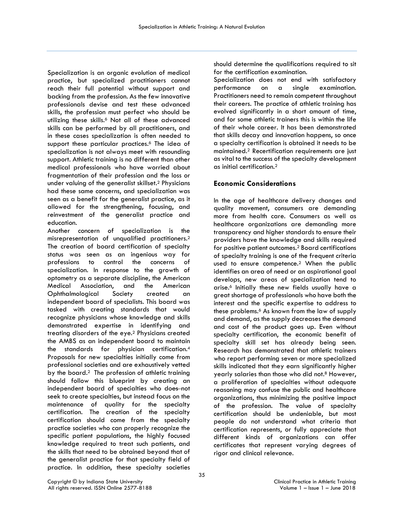Specialization is an organic evolution of medical practice, but specialized practitioners cannot reach their full potential without support and backing from the profession. As the few innovative professionals devise and test these advanced skills, the profession must perfect who should be utilizing these skills.<sup>6</sup> Not all of these advanced skills can be performed by all practitioners, and in these cases specialization is often needed to support these particular practices.<sup>6</sup> The idea of specialization is not always meet with resounding support. Athletic training is no different than other medical professionals who have worried about fragmentation of their profession and the loss or under valuing of the generalist skillset.2 Physicians had these same concerns, and specialization was seen as a benefit for the generalist practice, as it allowed for the strengthening, focusing, and reinvestment of the generalist practice and education.

Another concern of specialization is the misrepresentation of unqualified practitioners.2 The creation of board certification of specialty status was seen as an ingenious way for professions to control the concerns of specialization. In response to the growth of optometry as a separate discipline, the American Medical Association, and the American Ophthalmological Society created an independent board of specialists. This board was tasked with creating standards that would recognize physicians whose knowledge and skills demonstrated expertise in identifying and treating disorders of the eye.2 Physicians created the AMBS as an independent board to maintain the standards for physician certification.4 Proposals for new specialties initially come from professional societies and are exhaustively vetted by the board.2 The profession of athletic training should follow this blueprint by creating an independent board of specialties who does not seek to create specialties, but instead focus on the maintenance of quality for the specialty certification. The creation of the specialty certification should come from the specialty practice societies who can properly recognize the specific patient populations, the highly focused knowledge required to treat such patients, and the skills that need to be obtained beyond that of the generalist practice for that specialty field of practice. In addition, these specialty societies

should determine the qualifications required to sit for the certification examination.

Specialization does not end with satisfactory performance on a single examination. Practitioners need to remain competent throughout their careers. The practice of athletic training has evolved significantly in a short amount of time, and for some athletic trainers this is within the life of their whole career. It has been demonstrated that skills decay and innovation happens, so once a specialty certification is obtained it needs to be maintained.2 Recertification requirements are just as vital to the success of the specialty development as initial certification.2

# **Economic Considerations**

In the age of healthcare delivery changes and quality movement, consumers are demanding more from health care. Consumers as well as healthcare organizations are demanding more transparency and higher standards to ensure their providers have the knowledge and skills required for positive patient outcomes.2 Board certifications of specialty training is one of the frequent criteria used to ensure competence.<sup>2</sup> When the public identifies an area of need or an aspirational goal develops, new areas of specialization tend to arise.6 Initially these new fields usually have a great shortage of professionals who have both the interest and the specific expertise to address to these problems.6 As known from the law of supply and demand, as the supply decreases the demand and cost of the product goes up. Even without specialty certification, the economic benefit of specialty skill set has already being seen. Research has demonstrated that athletic trainers who report performing seven or more specialized skills indicated that they earn significantly higher yearly salaries than those who did not.<sup>8</sup> However, a proliferation of specialties without adequate reasoning may confuse the public and healthcare organizations, thus minimizing the positive impact of the profession. The value of specialty certification should be undeniable, but most people do not understand what criteria that certification represents, or fully appreciate that different kinds of organizations can offer certificates that represent varying degrees of rigor and clinical relevance.